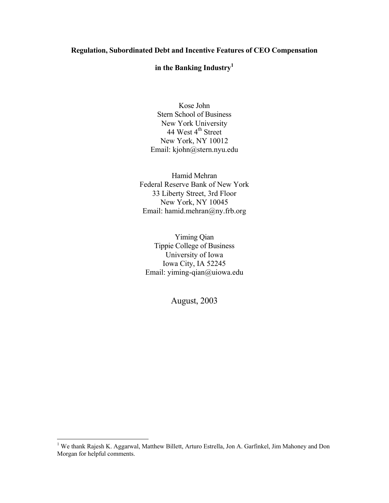# **Regulation, Subordinated Debt and Incentive Features of CEO Compensation**

# **in the Banking Industry[1](#page-0-0)**

Kose John Stern School of Business New York University  $44$  West  $4<sup>th</sup>$  Street New York, NY 10012 Email: kjohn@stern.nyu.edu

Hamid Mehran Federal Reserve Bank of New York 33 Liberty Street, 3rd Floor New York, NY 10045 Email: hamid.mehran@ny.frb.org

Yiming Qian Tippie College of Business University of Iowa Iowa City, IA 52245 Email: yiming-qian@uiowa.edu

August, 2003

<span id="page-0-0"></span><sup>&</sup>lt;sup>1</sup> We thank Rajesh K. Aggarwal, Matthew Billett, Arturo Estrella, Jon A. Garfinkel, Jim Mahoney and Don Morgan for helpful comments.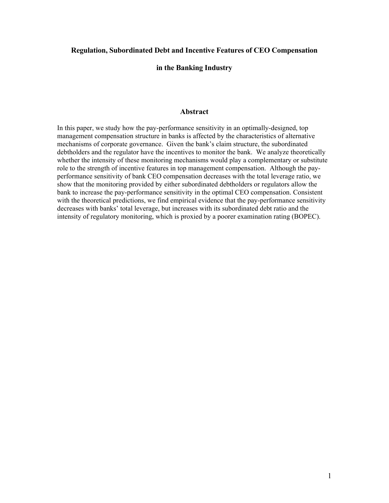# **Regulation, Subordinated Debt and Incentive Features of CEO Compensation**

# **in the Banking Industry**

# **Abstract**

In this paper, we study how the pay-performance sensitivity in an optimally-designed, top management compensation structure in banks is affected by the characteristics of alternative mechanisms of corporate governance. Given the bank's claim structure, the subordinated debtholders and the regulator have the incentives to monitor the bank. We analyze theoretically whether the intensity of these monitoring mechanisms would play a complementary or substitute role to the strength of incentive features in top management compensation. Although the payperformance sensitivity of bank CEO compensation decreases with the total leverage ratio, we show that the monitoring provided by either subordinated debtholders or regulators allow the bank to increase the pay-performance sensitivity in the optimal CEO compensation. Consistent with the theoretical predictions, we find empirical evidence that the pay-performance sensitivity decreases with banks' total leverage, but increases with its subordinated debt ratio and the intensity of regulatory monitoring, which is proxied by a poorer examination rating (BOPEC).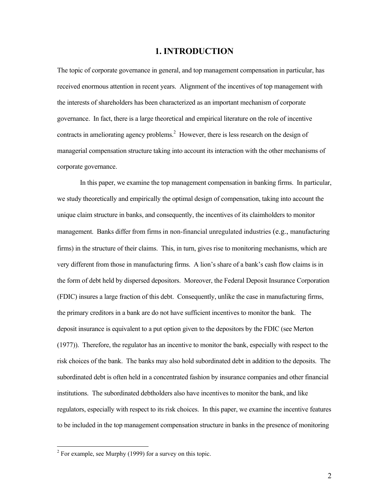# **1. INTRODUCTION**

The topic of corporate governance in general, and top management compensation in particular, has received enormous attention in recent years. Alignment of the incentives of top management with the interests of shareholders has been characterized as an important mechanism of corporate governance. In fact, there is a large theoretical and empirical literature on the role of incentive contractsin ameliorating agency problems.<sup>2</sup> However, there is less research on the design of managerial compensation structure taking into account its interaction with the other mechanisms of corporate governance.

In this paper, we examine the top management compensation in banking firms. In particular, we study theoretically and empirically the optimal design of compensation, taking into account the unique claim structure in banks, and consequently, the incentives of its claimholders to monitor management. Banks differ from firms in non-financial unregulated industries (e.g., manufacturing firms) in the structure of their claims. This, in turn, gives rise to monitoring mechanisms, which are very different from those in manufacturing firms. A lion's share of a bank's cash flow claims is in the form of debt held by dispersed depositors. Moreover, the Federal Deposit Insurance Corporation (FDIC) insures a large fraction of this debt. Consequently, unlike the case in manufacturing firms, the primary creditors in a bank are do not have sufficient incentives to monitor the bank. The deposit insurance is equivalent to a put option given to the depositors by the FDIC (see Merton (1977)). Therefore, the regulator has an incentive to monitor the bank, especially with respect to the risk choices of the bank. The banks may also hold subordinated debt in addition to the deposits. The subordinated debt is often held in a concentrated fashion by insurance companies and other financial institutions. The subordinated debtholders also have incentives to monitor the bank, and like regulators, especially with respect to its risk choices. In this paper, we examine the incentive features to be included in the top management compensation structure in banks in the presence of monitoring

 $\overline{a}$ 

<span id="page-2-0"></span><sup>&</sup>lt;sup>2</sup> For example, see Murphy (1999) for a survey on this topic.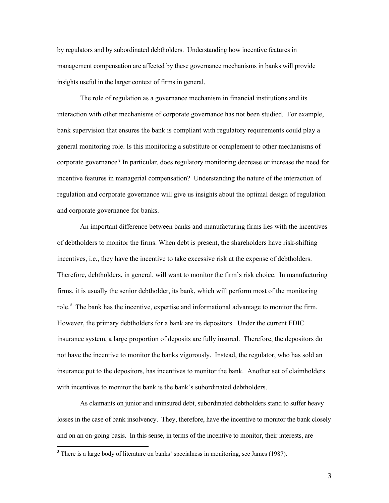by regulators and by subordinated debtholders. Understanding how incentive features in management compensation are affected by these governance mechanisms in banks will provide insights useful in the larger context of firms in general.

The role of regulation as a governance mechanism in financial institutions and its interaction with other mechanisms of corporate governance has not been studied. For example, bank supervision that ensures the bank is compliant with regulatory requirements could play a general monitoring role. Is this monitoring a substitute or complement to other mechanisms of corporate governance? In particular, does regulatory monitoring decrease or increase the need for incentive features in managerial compensation? Understanding the nature of the interaction of regulation and corporate governance will give us insights about the optimal design of regulation and corporate governance for banks.

An important difference between banks and manufacturing firms lies with the incentives of debtholders to monitor the firms. When debt is present, the shareholders have risk-shifting incentives, i.e., they have the incentive to take excessive risk at the expense of debtholders. Therefore, debtholders, in general, will want to monitor the firm's risk choice. In manufacturing firms, it is usually the senior debtholder, its bank, which will perform most of the monitoring role.<sup>[3](#page-3-0)</sup> The bank has the incentive, expertise and informational advantage to monitor the firm. However, the primary debtholders for a bank are its depositors. Under the current FDIC insurance system, a large proportion of deposits are fully insured. Therefore, the depositors do not have the incentive to monitor the banks vigorously. Instead, the regulator, who has sold an insurance put to the depositors, has incentives to monitor the bank. Another set of claimholders with incentives to monitor the bank is the bank's subordinated debtholders.

As claimants on junior and uninsured debt, subordinated debtholders stand to suffer heavy losses in the case of bank insolvency. They, therefore, have the incentive to monitor the bank closely and on an on-going basis. In this sense, in terms of the incentive to monitor, their interests, are

 $\overline{a}$ 

<span id="page-3-0"></span> $3$  There is a large body of literature on banks' specialness in monitoring, see James (1987).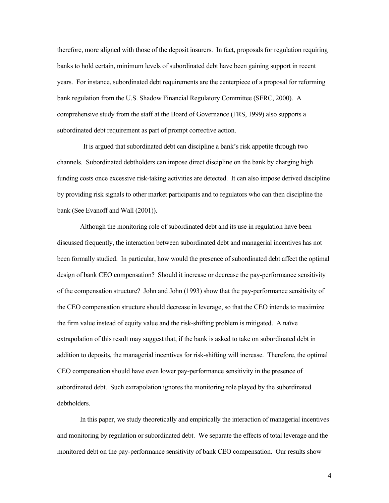therefore, more aligned with those of the deposit insurers. In fact, proposals for regulation requiring banks to hold certain, minimum levels of subordinated debt have been gaining support in recent years. For instance, subordinated debt requirements are the centerpiece of a proposal for reforming bank regulation from the U.S. Shadow Financial Regulatory Committee (SFRC, 2000). A comprehensive study from the staff at the Board of Governance (FRS, 1999) also supports a subordinated debt requirement as part of prompt corrective action.

 It is argued that subordinated debt can discipline a bank's risk appetite through two channels. Subordinated debtholders can impose direct discipline on the bank by charging high funding costs once excessive risk-taking activities are detected. It can also impose derived discipline by providing risk signals to other market participants and to regulators who can then discipline the bank (See Evanoff and Wall (2001)).

Although the monitoring role of subordinated debt and its use in regulation have been discussed frequently, the interaction between subordinated debt and managerial incentives has not been formally studied. In particular, how would the presence of subordinated debt affect the optimal design of bank CEO compensation? Should it increase or decrease the pay-performance sensitivity of the compensation structure? John and John (1993) show that the pay-performance sensitivity of the CEO compensation structure should decrease in leverage, so that the CEO intends to maximize the firm value instead of equity value and the risk-shifting problem is mitigated. A naïve extrapolation of this result may suggest that, if the bank is asked to take on subordinated debt in addition to deposits, the managerial incentives for risk-shifting will increase. Therefore, the optimal CEO compensation should have even lower pay-performance sensitivity in the presence of subordinated debt. Such extrapolation ignores the monitoring role played by the subordinated debtholders.

In this paper, we study theoretically and empirically the interaction of managerial incentives and monitoring by regulation or subordinated debt. We separate the effects of total leverage and the monitored debt on the pay-performance sensitivity of bank CEO compensation. Our results show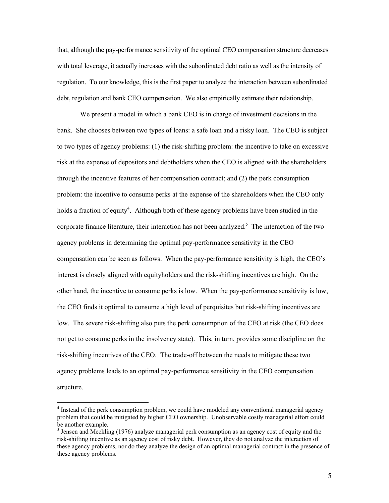that, although the pay-performance sensitivity of the optimal CEO compensation structure decreases with total leverage, it actually increases with the subordinated debt ratio as well as the intensity of regulation. To our knowledge, this is the first paper to analyze the interaction between subordinated debt, regulation and bank CEO compensation. We also empirically estimate their relationship.

We present a model in which a bank CEO is in charge of investment decisions in the bank. She chooses between two types of loans: a safe loan and a risky loan. The CEO is subject to two types of agency problems: (1) the risk-shifting problem: the incentive to take on excessive risk at the expense of depositors and debtholders when the CEO is aligned with the shareholders through the incentive features of her compensation contract; and (2) the perk consumption problem: the incentive to consume perks at the expense of the shareholders when the CEO only holds a fraction of equity<sup>4</sup>[.](#page-5-0) Although both of these agency problems have been studied in the corporate finance literature, their interaction has not been analyzed.<sup>[5](#page-5-1)</sup> The interaction of the two agency problems in determining the optimal pay-performance sensitivity in the CEO compensation can be seen as follows. When the pay-performance sensitivity is high, the CEO's interest is closely aligned with equityholders and the risk-shifting incentives are high. On the other hand, the incentive to consume perks is low. When the pay-performance sensitivity is low, the CEO finds it optimal to consume a high level of perquisites but risk-shifting incentives are low. The severe risk-shifting also puts the perk consumption of the CEO at risk (the CEO does not get to consume perks in the insolvency state). This, in turn, provides some discipline on the risk-shifting incentives of the CEO. The trade-off between the needs to mitigate these two agency problems leads to an optimal pay-performance sensitivity in the CEO compensation structure.

 $\overline{a}$ 

<span id="page-5-0"></span><sup>&</sup>lt;sup>4</sup> Instead of the perk consumption problem, we could have modeled any conventional managerial agency problem that could be mitigated by higher CEO ownership. Unobservable costly managerial effort could be another example.

<span id="page-5-1"></span> $<sup>5</sup>$  Jensen and Meckling (1976) analyze managerial perk consumption as an agency cost of equity and the</sup> risk-shifting incentive as an agency cost of risky debt. However, they do not analyze the interaction of these agency problems, nor do they analyze the design of an optimal managerial contract in the presence of these agency problems.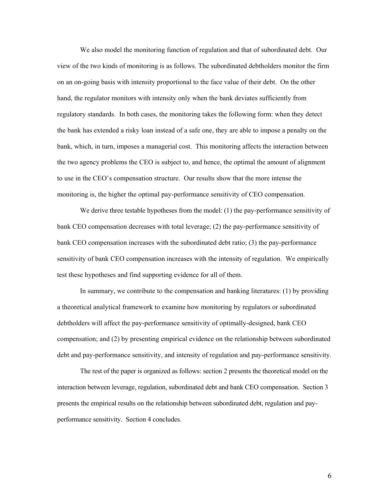We also model the monitoring function of regulation and that of subordinated debt. Our view of the two kinds of monitoring is as follows. The subordinated debtholders monitor the firm on an on-going basis with intensity proportional to the face value of their debt. On the other hand, the regulator monitors with intensity only when the bank deviates sufficiently from regulatory standards. In both cases, the monitoring takes the following form: when they detect the bank has extended a risky loan instead of a safe one, they are able to impose a penalty on the bank, which, in turn, imposes a managerial cost. This monitoring affects the interaction between the two agency problems the CEO is subject to, and hence, the optimal the amount of alignment to use in the CEO's compensation structure. Our results show that the more intense the monitoring is, the higher the optimal pay-performance sensitivity of CEO compensation.

We derive three testable hypotheses from the model: (1) the pay-performance sensitivity of bank CEO compensation decreases with total leverage; (2) the pay-performance sensitivity of bank CEO compensation increases with the subordinated debt ratio; (3) the pay-performance sensitivity of bank CEO compensation increases with the intensity of regulation. We empirically test these hypotheses and find supporting evidence for all of them.

In summary, we contribute to the compensation and banking literatures: (1) by providing a theoretical analytical framework to examine how monitoring by regulators or subordinated debtholders will affect the pay-performance sensitivity of optimally-designed, bank CEO compensation; and (2) by presenting empirical evidence on the relationship between subordinated debt and pay-performance sensitivity, and intensity of regulation and pay-performance sensitivity.

The rest of the paper is organized as follows: section 2 presents the theoretical model on the interaction between leverage, regulation, subordinated debt and bank CEO compensation. Section 3 presents the empirical results on the relationship between subordinated debt, regulation and payperformance sensitivity. Section 4 concludes.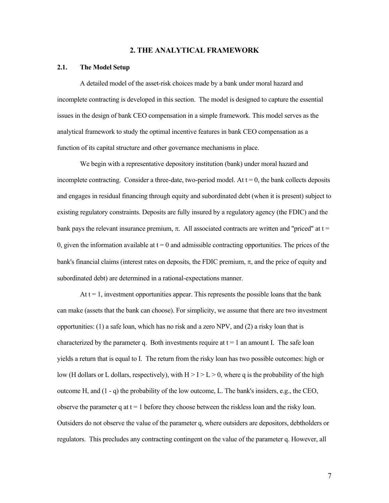## **2. THE ANALYTICAL FRAMEWORK**

### **2.1. The Model Setup**

A detailed model of the asset-risk choices made by a bank under moral hazard and incomplete contracting is developed in this section. The model is designed to capture the essential issues in the design of bank CEO compensation in a simple framework. This model serves as the analytical framework to study the optimal incentive features in bank CEO compensation as a function of its capital structure and other governance mechanisms in place.

We begin with a representative depository institution (bank) under moral hazard and incomplete contracting. Consider a three-date, two-period model. At  $t = 0$ , the bank collects deposits and engages in residual financing through equity and subordinated debt (when it is present) subject to existing regulatory constraints. Deposits are fully insured by a regulatory agency (the FDIC) and the bank pays the relevant insurance premium,  $\pi$ . All associated contracts are written and "priced" at t = 0, given the information available at  $t = 0$  and admissible contracting opportunities. The prices of the bank's financial claims (interest rates on deposits, the FDIC premium,  $\pi$ , and the price of equity and subordinated debt) are determined in a rational-expectations manner.

At  $t = 1$ , investment opportunities appear. This represents the possible loans that the bank can make (assets that the bank can choose). For simplicity, we assume that there are two investment opportunities: (1) a safe loan, which has no risk and a zero NPV, and (2) a risky loan that is characterized by the parameter q. Both investments require at  $t = 1$  an amount I. The safe loan yields a return that is equal to I. The return from the risky loan has two possible outcomes: high or low (H dollars or L dollars, respectively), with  $H > I > L > 0$ , where q is the probability of the high outcome H, and  $(1 - q)$  the probability of the low outcome, L. The bank's insiders, e.g., the CEO, observe the parameter q at  $t = 1$  before they choose between the riskless loan and the risky loan. Outsiders do not observe the value of the parameter q, where outsiders are depositors, debtholders or regulators. This precludes any contracting contingent on the value of the parameter q. However, all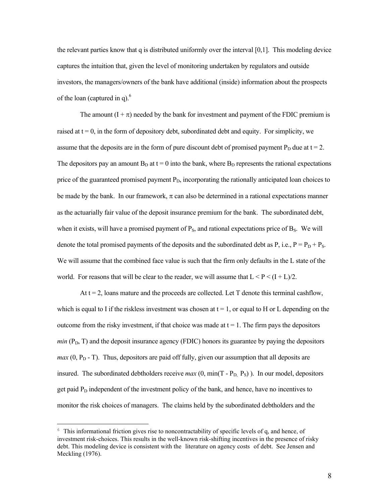the relevant parties know that q is distributed uniformly over the interval [0,1]. This modeling device captures the intuition that, given the level of monitoring undertaken by regulators and outside investors, the managers/owners of the bank have additional (inside) information about the prospects of the loan (captured in q). $<sup>6</sup>$ </sup>

The amount  $(I + \pi)$  needed by the bank for investment and payment of the FDIC premium is raised at  $t = 0$ , in the form of depository debt, subordinated debt and equity. For simplicity, we assume that the deposits are in the form of pure discount debt of promised payment  $P_D$  due at t = 2. The depositors pay an amount  $B<sub>D</sub>$  at t = 0 into the bank, where  $B<sub>D</sub>$  represents the rational expectations price of the guaranteed promised payment  $P<sub>D</sub>$ , incorporating the rationally anticipated loan choices to be made by the bank. In our framework,  $\pi$  can also be determined in a rational expectations manner as the actuarially fair value of the deposit insurance premium for the bank. The subordinated debt, when it exists, will have a promised payment of  $P_s$ , and rational expectations price of  $B_s$ . We will denote the total promised payments of the deposits and the subordinated debt as P, i.e.,  $P = P_D + P_S$ . We will assume that the combined face value is such that the firm only defaults in the L state of the world. For reasons that will be clear to the reader, we will assume that  $L < P < (I + L)/2$ .

At  $t = 2$ , loans mature and the proceeds are collected. Let T denote this terminal cashflow, which is equal to I if the riskless investment was chosen at  $t = 1$ , or equal to H or L depending on the outcome from the risky investment, if that choice was made at  $t = 1$ . The firm pays the depositors  $min(P_D, T)$  and the deposit insurance agency (FDIC) honors its guarantee by paying the depositors  $max(0, P<sub>D</sub> - T)$ . Thus, depositors are paid off fully, given our assumption that all deposits are insured. The subordinated debtholders receive  $max(0, min(T - P_D, P_S))$ . In our model, depositors get paid  $P_D$  independent of the investment policy of the bank, and hence, have no incentives to monitor the risk choices of managers. The claims held by the subordinated debtholders and the

 $\overline{a}$ 

<span id="page-8-0"></span> $6$  This informational friction gives rise to noncontractability of specific levels of q, and hence, of investment risk-choices. This results in the well-known risk-shifting incentives in the presence of risky debt. This modeling device is consistent with the literature on agency costs of debt. See Jensen and Meckling (1976).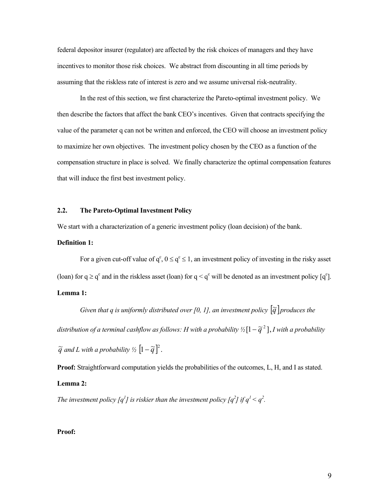federal depositor insurer (regulator) are affected by the risk choices of managers and they have incentives to monitor those risk choices. We abstract from discounting in all time periods by assuming that the riskless rate of interest is zero and we assume universal risk-neutrality.

In the rest of this section, we first characterize the Pareto-optimal investment policy. We then describe the factors that affect the bank CEO's incentives. Given that contracts specifying the value of the parameter q can not be written and enforced, the CEO will choose an investment policy to maximize her own objectives. The investment policy chosen by the CEO as a function of the compensation structure in place is solved. We finally characterize the optimal compensation features that will induce the first best investment policy.

# **2.2. The Pareto-Optimal Investment Policy**

We start with a characterization of a generic investment policy (loan decision) of the bank.

# **Definition 1:**

For a given cut-off value of  $q^c$ ,  $0 \le q^c \le 1$ , an investment policy of investing in the risky asset (loan) for  $q \ge q^c$  and in the riskless asset (loan) for  $q < q^c$  will be denoted as an investment policy  $[q^c]$ .

# **Lemma 1:**

*Given that q is uniformly distributed over [0, 1], an investment policy*  $\lceil \tilde{q} \rceil$  *produces the distribution of a terminal cashflow as follows: H with a probability ½*  $[1 - \tilde{q}^2]$ , *I with a probability*  $\widetilde{q}$  and L with a probability  $\frac{1}{2}$   $\left[1-\widetilde{q}\right]^2$ .

**Proof:** Straightforward computation yields the probabilities of the outcomes, L, H, and I as stated.

#### **Lemma 2:**

*The investment policy*  $[q^l]$  *is riskier than the investment policy*  $[q^2]$  *if*  $q^l < q^2$ .

### **Proof:**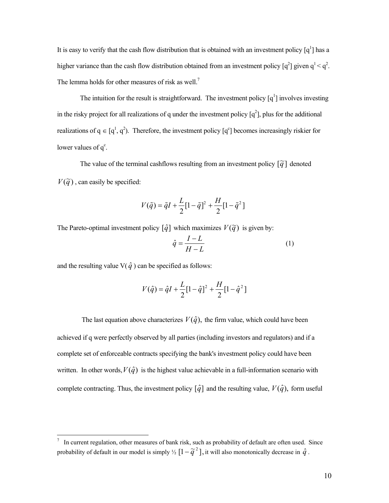It is easy to verify that the cash flow distribution that is obtained with an investment policy  $[q^1]$  has a higher variance than the cash flow distribution obtained from an investment policy  $\lceil q^2 \rceil$  given  $q^1 < q^2$ . The lemma holds for other measures of risk as well.<sup>[7](#page-10-0)</sup>

The intuition for the result is straightforward. The investment policy  $[q^1]$  involves investing in the risky project for all realizations of q under the investment policy  $[q^2]$ , plus for the additional realizations of  $q \in [q^1, q^2)$ . Therefore, the investment policy  $[q^c]$  becomes increasingly riskier for lower values of  $q^c$ .

The value of the terminal cashflows resulting from an investment policy  $\lceil \tilde{q} \rceil$  denoted  $V(\tilde{q})$ , can easily be specified:

$$
V(\tilde{q}) = \tilde{q}I + \frac{L}{2}[1 - \tilde{q}]^{2} + \frac{H}{2}[1 - \tilde{q}^{2}]
$$

The Pareto-optimal investment policy  $\left[\hat{q}\right]$  which maximizes  $V(\tilde{q})$  is given by:

$$
\hat{q} = \frac{I - L}{H - L} \tag{1}
$$

and the resulting value  $V(\hat{q})$  can be specified as follows:

 $\overline{a}$ 

$$
V(\hat{q}) = \hat{q}I + \frac{L}{2}[1 - \hat{q}]^{2} + \frac{H}{2}[1 - \hat{q}^{2}]
$$

The last equation above characterizes  $V(\hat{q})$ , the firm value, which could have been achieved if q were perfectly observed by all parties (including investors and regulators) and if a complete set of enforceable contracts specifying the bank's investment policy could have been written. In other words,  $V(\hat{q})$  is the highest value achievable in a full-information scenario with complete contracting. Thus, the investment policy  $\left[\hat{q}\right]$  and the resulting value,  $V(\hat{q})$ , form useful

<span id="page-10-0"></span>In current regulation, other measures of bank risk, such as probability of default are often used. Since probability of default in our model is simply  $\frac{1}{2} [1 - \tilde{q}^2]$ , it will also monotonically decrease in  $\hat{q}$ .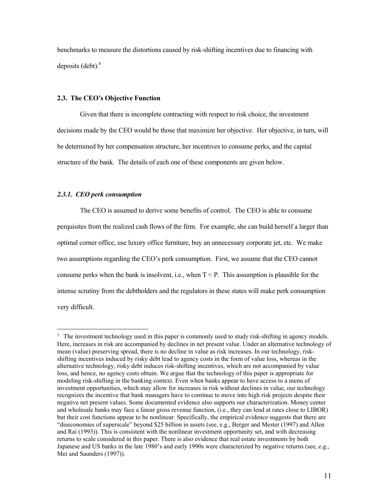benchmarks to measure the distortions caused by risk-shifting incentives due to financing with deposits  $(debt)<sup>8</sup>$ 

### **2.3. The CEO's Objective Function**

Given that there is incomplete contracting with respect to risk choice, the investment decisions made by the CEO would be those that maximize her objective. Her objective, in turn, will be determined by her compensation structure, her incentives to consume perks, and the capital structure of the bank. The details of each one of these components are given below.

#### *2.3.1. CEO perk consumption*

 $\overline{a}$ 

The CEO is assumed to derive some benefits of control. The CEO is able to consume perquisites from the realized cash flows of the firm. For example, she can build herself a larger than optimal corner office, use luxury office furniture, buy an unnecessary corporate jet, etc. We make two assumptions regarding the CEO's perk consumption. First, we assume that the CEO cannot consume perks when the bank is insolvent, i.e., when  $T < P$ . This assumption is plausible for the intense scrutiny from the debtholders and the regulators in these states will make perk consumption very difficult.

<span id="page-11-0"></span><sup>&</sup>lt;sup>8</sup> The investment technology used in this paper is commonly used to study risk-shifting in agency models. Here, increases in risk are accompanied by declines in net present value. Under an alternative technology of mean (value) preserving spread, there is no decline in value as risk increases. In our technology, riskshifting incentives induced by risky debt lead to agency costs in the form of value loss, whereas in the alternative technology, risky debt induces risk-shifting incentives, which are not accompanied by value loss, and hence, no agency costs obtain. We argue that the technology of this paper is appropriate for modeling risk-shifting in the banking context. Even when banks appear to have access to a menu of investment opportunities, which may allow for increases in risk without declines in value, our technology recognizes the incentive that bank managers have to continue to move into high risk projects despite their negative net present values. Some documented evidence also supports our characterization. Money center and wholesale banks may face a linear gross revenue function, (i.e., they can lend at rates close to LIBOR) but their cost functions appear to be nonlinear. Specifically, the empirical evidence suggests that there are "diseconomies of superscale" beyond \$25 billion in assets (see, e.g., Berger and Mester (1997) and Allen and Rai (1993)). This is consistent with the nonlinear investment opportunity set, and with decreasing returns to scale considered in this paper. There is also evidence that real estate investments by both Japanese and US banks in the late 1980's and early 1990s were characterized by negative returns (see, e.g., Mei and Saunders (1997)).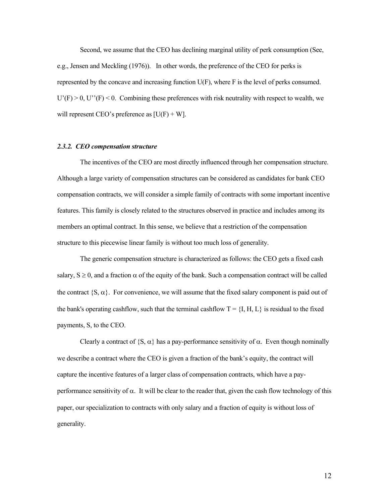Second, we assume that the CEO has declining marginal utility of perk consumption (See, e.g., Jensen and Meckling (1976)). In other words, the preference of the CEO for perks is represented by the concave and increasing function U(F), where F is the level of perks consumed.  $U'(F) > 0$ ,  $U''(F) < 0$ . Combining these preferences with risk neutrality with respect to wealth, we will represent CEO's preference as  $[U(F) + W]$ .

### *2.3.2. CEO compensation structure*

The incentives of the CEO are most directly influenced through her compensation structure. Although a large variety of compensation structures can be considered as candidates for bank CEO compensation contracts, we will consider a simple family of contracts with some important incentive features. This family is closely related to the structures observed in practice and includes among its members an optimal contract. In this sense, we believe that a restriction of the compensation structure to this piecewise linear family is without too much loss of generality.

The generic compensation structure is characterized as follows: the CEO gets a fixed cash salary,  $S \ge 0$ , and a fraction  $\alpha$  of the equity of the bank. Such a compensation contract will be called the contract  $\{S, \alpha\}$ . For convenience, we will assume that the fixed salary component is paid out of the bank's operating cashflow, such that the terminal cashflow  $T = \{I, H, L\}$  is residual to the fixed payments, S, to the CEO.

Clearly a contract of  $\{S, \alpha\}$  has a pay-performance sensitivity of  $\alpha$ . Even though nominally we describe a contract where the CEO is given a fraction of the bank's equity, the contract will capture the incentive features of a larger class of compensation contracts, which have a payperformance sensitivity of  $\alpha$ . It will be clear to the reader that, given the cash flow technology of this paper, our specialization to contracts with only salary and a fraction of equity is without loss of generality.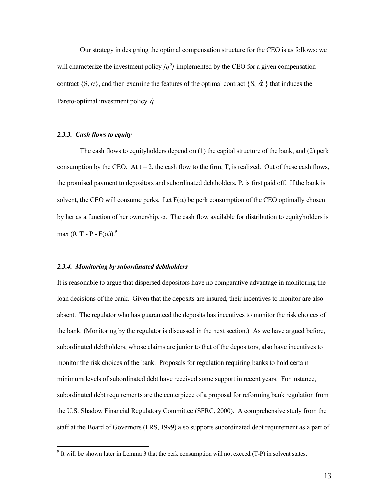Our strategy in designing the optimal compensation structure for the CEO is as follows: we will characterize the investment policy  $q^{\alpha}$  *[q<sup>α</sup>]* implemented by the CEO for a given compensation contract {S,  $\alpha$ }, and then examine the features of the optimal contract {S,  $\hat{\alpha}$  } that induces the Pareto-optimal investment policy  $\hat{q}$ .

### *2.3.3. Cash flows to equity*

 $\overline{a}$ 

The cash flows to equityholders depend on (1) the capital structure of the bank, and (2) perk consumption by the CEO. At  $t = 2$ , the cash flow to the firm, T, is realized. Out of these cash flows, the promised payment to depositors and subordinated debtholders, P, is first paid off. If the bank is solvent, the CEO will consume perks. Let  $F(\alpha)$  be perk consumption of the CEO optimally chosen by her as a function of her ownership, α. The cash flow available for distribution to equityholders is max  $(0, T - P - F(\alpha))$ .<sup>9</sup>

#### *2.3.4. Monitoring by subordinated debtholders*

It is reasonable to argue that dispersed depositors have no comparative advantage in monitoring the loan decisions of the bank. Given that the deposits are insured, their incentives to monitor are also absent. The regulator who has guaranteed the deposits has incentives to monitor the risk choices of the bank. (Monitoring by the regulator is discussed in the next section.) As we have argued before, subordinated debtholders, whose claims are junior to that of the depositors, also have incentives to monitor the risk choices of the bank. Proposals for regulation requiring banks to hold certain minimum levels of subordinated debt have received some support in recent years. For instance, subordinated debt requirements are the centerpiece of a proposal for reforming bank regulation from the U.S. Shadow Financial Regulatory Committee (SFRC, 2000). A comprehensive study from the staff at the Board of Governors (FRS, 1999) also supports subordinated debt requirement as a part of

<span id="page-13-0"></span> $9$  It will be shown later in Lemma 3 that the perk consumption will not exceed (T-P) in solvent states.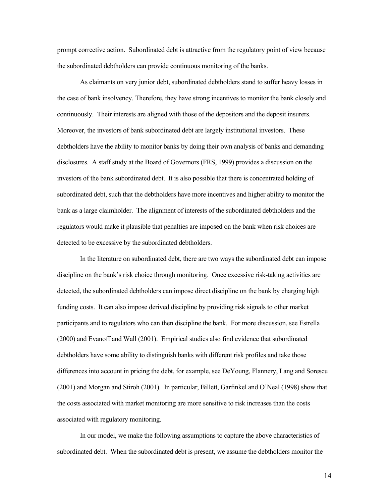prompt corrective action. Subordinated debt is attractive from the regulatory point of view because the subordinated debtholders can provide continuous monitoring of the banks.

As claimants on very junior debt, subordinated debtholders stand to suffer heavy losses in the case of bank insolvency. Therefore, they have strong incentives to monitor the bank closely and continuously. Their interests are aligned with those of the depositors and the deposit insurers. Moreover, the investors of bank subordinated debt are largely institutional investors. These debtholders have the ability to monitor banks by doing their own analysis of banks and demanding disclosures. A staff study at the Board of Governors (FRS, 1999) provides a discussion on the investors of the bank subordinated debt. It is also possible that there is concentrated holding of subordinated debt, such that the debtholders have more incentives and higher ability to monitor the bank as a large claimholder. The alignment of interests of the subordinated debtholders and the regulators would make it plausible that penalties are imposed on the bank when risk choices are detected to be excessive by the subordinated debtholders.

In the literature on subordinated debt, there are two ways the subordinated debt can impose discipline on the bank's risk choice through monitoring. Once excessive risk-taking activities are detected, the subordinated debtholders can impose direct discipline on the bank by charging high funding costs. It can also impose derived discipline by providing risk signals to other market participants and to regulators who can then discipline the bank. For more discussion, see Estrella (2000) and Evanoff and Wall (2001). Empirical studies also find evidence that subordinated debtholders have some ability to distinguish banks with different risk profiles and take those differences into account in pricing the debt, for example, see DeYoung, Flannery, Lang and Sorescu (2001) and Morgan and Stiroh (2001). In particular, Billett, Garfinkel and O'Neal (1998) show that the costs associated with market monitoring are more sensitive to risk increases than the costs associated with regulatory monitoring.

In our model, we make the following assumptions to capture the above characteristics of subordinated debt. When the subordinated debt is present, we assume the debtholders monitor the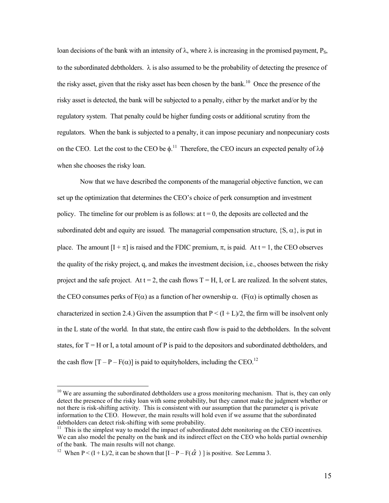loan decisions of the bank with an intensity of λ, where λ is increasing in the promised payment, P<sub>S</sub>, to the subordinated debtholders. λ is also assumed to be the probability of detecting the presence of the risky asset, given that the risky asset has been chosen by the bank.<sup>10</sup> Once the presence of the risky asset is detected, the bank will be subjected to a penalty, either by the market and/or by the regulatory system. That penalty could be higher funding costs or additional scrutiny from the regulators. When the bank is subjected to a penalty, it can impose pecuniary and nonpecuniary costs on the CEO. Let the cost to the CEO be  $\phi$ .<sup>11</sup> Therefore, the CEO incurs an expected penalty of  $\lambda \phi$ when she chooses the risky loan.

Now that we have described the components of the managerial objective function, we can set up the optimization that determines the CEO's choice of perk consumption and investment policy. The timeline for our problem is as follows: at  $t = 0$ , the deposits are collected and the subordinated debt and equity are issued. The managerial compensation structure,  $\{S, \alpha\}$ , is put in place. The amount  $[I + \pi]$  is raised and the FDIC premium,  $\pi$ , is paid. At  $t = 1$ , the CEO observes the quality of the risky project, q, and makes the investment decision, i.e., chooses between the risky project and the safe project. At  $t = 2$ , the cash flows  $T = H$ , I, or L are realized. In the solvent states, the CEO consumes perks of  $F(\alpha)$  as a function of her ownership  $\alpha$ . (F( $\alpha$ ) is optimally chosen as characterized in section 2.4.) Given the assumption that  $P < (I + L)/2$ , the firm will be insolvent only in the L state of the world. In that state, the entire cash flow is paid to the debtholders. In the solvent states, for  $T = H$  or I, a total amount of P is paid to the depositors and subordinated debtholders, and the cash flow  $[T - P - F(\alpha)]$  is paid to equityholders, including the CEO.<sup>12</sup>

 $\overline{a}$ 

<span id="page-15-0"></span> $10$  We are assuming the subordinated debtholders use a gross monitoring mechanism. That is, they can only detect the presence of the risky loan with some probability, but they cannot make the judgment whether or not there is risk-shifting activity. This is consistent with our assumption that the parameter q is private information to the CEO. However, the main results will hold even if we assume that the subordinated debtholders can detect risk-shifting with some probability.<br><sup>11</sup> This is the simplest way to model the impact of subordinated debt monitoring on the CEO incentives.

<span id="page-15-1"></span>We can also model the penalty on the bank and its indirect effect on the CEO who holds partial ownership of the bank. The main results will not change.<br><sup>12</sup> When P < (I + L)/2, it can be shown that  $[I - P - F(\hat{\alpha})]$  is positive. See Lemma 3.

<span id="page-15-2"></span>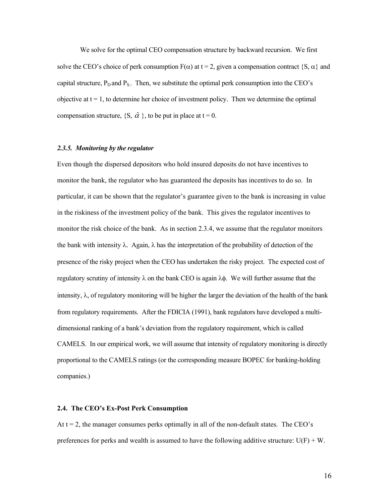We solve for the optimal CEO compensation structure by backward recursion. We first solve the CEO's choice of perk consumption  $F(\alpha)$  at t = 2, given a compensation contract {S,  $\alpha$ } and capital structure,  $P_D$  and  $P_S$ . Then, we substitute the optimal perk consumption into the CEO's objective at  $t = 1$ , to determine her choice of investment policy. Then we determine the optimal compensation structure,  $\{S, \hat{\alpha}\}\}$ , to be put in place at  $t = 0$ .

### *2.3.5. Monitoring by the regulator*

Even though the dispersed depositors who hold insured deposits do not have incentives to monitor the bank, the regulator who has guaranteed the deposits has incentives to do so. In particular, it can be shown that the regulator's guarantee given to the bank is increasing in value in the riskiness of the investment policy of the bank. This gives the regulator incentives to monitor the risk choice of the bank. As in section 2.3.4, we assume that the regulator monitors the bank with intensity  $\lambda$ . Again,  $\lambda$  has the interpretation of the probability of detection of the presence of the risky project when the CEO has undertaken the risky project. The expected cost of regulatory scrutiny of intensity  $\lambda$  on the bank CEO is again  $\lambda \phi$ . We will further assume that the intensity,  $\lambda$ , of regulatory monitoring will be higher the larger the deviation of the health of the bank from regulatory requirements. After the FDICIA (1991), bank regulators have developed a multidimensional ranking of a bank's deviation from the regulatory requirement, which is called CAMELS. In our empirical work, we will assume that intensity of regulatory monitoring is directly proportional to the CAMELS ratings (or the corresponding measure BOPEC for banking-holding companies.)

# **2.4. The CEO's Ex-Post Perk Consumption**

At  $t = 2$ , the manager consumes perks optimally in all of the non-default states. The CEO's preferences for perks and wealth is assumed to have the following additive structure:  $U(F) + W$ .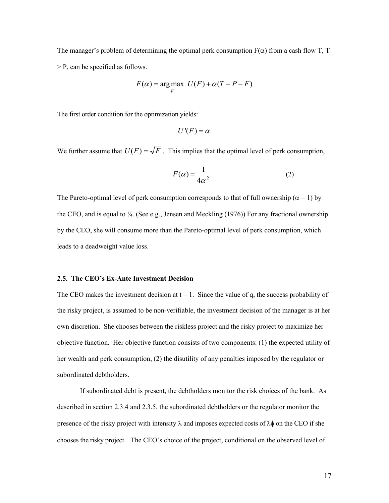The manager's problem of determining the optimal perk consumption  $F(\alpha)$  from a cash flow T, T > P, can be specified as follows.

$$
F(\alpha) = \underset{F}{\arg \max} \ U(F) + \alpha (T - P - F)
$$

The first order condition for the optimization yields:

$$
U'(F) = \alpha
$$

We further assume that  $U(F) = \sqrt{F}$ . This implies that the optimal level of perk consumption,

$$
F(\alpha) = \frac{1}{4\alpha^2} \tag{2}
$$

The Pareto-optimal level of perk consumption corresponds to that of full ownership ( $\alpha = 1$ ) by the CEO, and is equal to  $\frac{1}{4}$ . (See e.g., Jensen and Meckling (1976)) For any fractional ownership by the CEO, she will consume more than the Pareto-optimal level of perk consumption, which leads to a deadweight value loss.

### **2.5. The CEO's Ex-Ante Investment Decision**

The CEO makes the investment decision at  $t = 1$ . Since the value of q, the success probability of the risky project, is assumed to be non-verifiable, the investment decision of the manager is at her own discretion. She chooses between the riskless project and the risky project to maximize her objective function. Her objective function consists of two components: (1) the expected utility of her wealth and perk consumption, (2) the disutility of any penalties imposed by the regulator or subordinated debtholders.

If subordinated debt is present, the debtholders monitor the risk choices of the bank. As described in section 2.3.4 and 2.3.5, the subordinated debtholders or the regulator monitor the presence of the risky project with intensity  $\lambda$  and imposes expected costs of  $\lambda\phi$  on the CEO if she chooses the risky project. The CEO's choice of the project, conditional on the observed level of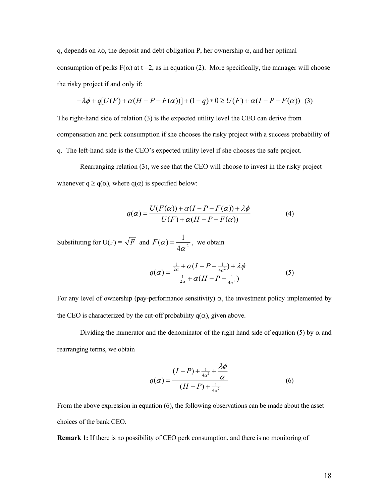q, depends on λφ, the deposit and debt obligation P, her ownership α, and her optimal consumption of perks  $F(\alpha)$  at t = 2, as in equation (2). More specifically, the manager will choose the risky project if and only if:

$$
-\lambda \phi + q[U(F) + \alpha (H - P - F(\alpha))] + (1 - q) * 0 \ge U(F) + \alpha (I - P - F(\alpha))
$$
 (3)

The right-hand side of relation (3) is the expected utility level the CEO can derive from compensation and perk consumption if she chooses the risky project with a success probability of q. The left-hand side is the CEO's expected utility level if she chooses the safe project.

Rearranging relation (3), we see that the CEO will choose to invest in the risky project whenever  $q \ge q(\alpha)$ , where  $q(\alpha)$  is specified below:

$$
q(\alpha) = \frac{U(F(\alpha)) + \alpha(I - P - F(\alpha)) + \lambda \phi}{U(F) + \alpha(H - P - F(\alpha))}
$$
(4)

Substituting for U(F) =  $\sqrt{F}$  and  $F(\alpha) = \frac{1}{4\alpha^2}$ , we obtain

$$
q(\alpha) = \frac{\frac{1}{2\alpha} + \alpha(I - P - \frac{1}{4\alpha^2}) + \lambda \phi}{\frac{1}{2\alpha} + \alpha(H - P - \frac{1}{4\alpha^2})}
$$
(5)

For any level of ownership (pay-performance sensitivity)  $\alpha$ , the investment policy implemented by the CEO is characterized by the cut-off probability  $q(\alpha)$ , given above.

Dividing the numerator and the denominator of the right hand side of equation (5) by  $\alpha$  and rearranging terms, we obtain

$$
q(\alpha) = \frac{(I - P) + \frac{1}{4\alpha^2} + \frac{\lambda \phi}{\alpha}}{(H - P) + \frac{1}{4\alpha^2}}
$$
(6)

From the above expression in equation (6), the following observations can be made about the asset choices of the bank CEO.

**Remark 1:** If there is no possibility of CEO perk consumption, and there is no monitoring of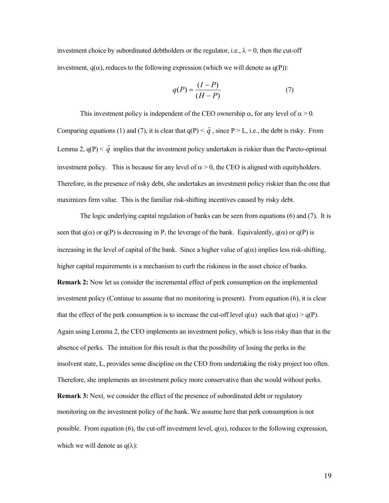investment choice by subordinated debtholders or the regulator, i.e.,  $\lambda = 0$ , then the cut-off investment,  $q(\alpha)$ , reduces to the following expression (which we will denote as  $q(P)$ ):

$$
q(P) = \frac{(I - P)}{(H - P)}\tag{7}
$$

This investment policy is independent of the CEO ownership  $\alpha$ , for any level of  $\alpha > 0$ . Comparing equations (1) and (7), it is clear that  $q(P) < \hat{q}$ , since P > L, i.e., the debt is risky. From Lemma 2,  $q(P) < \hat{q}$  implies that the investment policy undertaken is riskier than the Pareto-optimal investment policy. This is because for any level of  $\alpha > 0$ , the CEO is aligned with equityholders. Therefore, in the presence of risky debt, she undertakes an investment policy riskier than the one that maximizes firm value. This is the familiar risk-shifting incentives caused by risky debt.

The logic underlying capital regulation of banks can be seen from equations (6) and (7). It is seen that  $q(\alpha)$  or  $q(P)$  is decreasing in P, the leverage of the bank. Equivalently,  $q(\alpha)$  or  $q(P)$  is increasing in the level of capital of the bank. Since a higher value of  $q(\alpha)$  implies less risk-shifting, higher capital requirements is a mechanism to curb the riskiness in the asset choice of banks. **Remark 2:** Now let us consider the incremental effect of perk consumption on the implemented investment policy (Continue to assume that no monitoring is present). From equation (6), it is clear that the effect of the perk consumption is to increase the cut-off level  $q(\alpha)$  such that  $q(\alpha) > q(P)$ . Again using Lemma 2, the CEO implements an investment policy, which is less risky than that in the absence of perks. The intuition for this result is that the possibility of losing the perks in the insolvent state, L, provides some discipline on the CEO from undertaking the risky project too often. Therefore, she implements an investment policy more conservative than she would without perks. **Remark 3:** Next, we consider the effect of the presence of subordinated debt or regulatory monitoring on the investment policy of the bank. We assume here that perk consumption is not possible. From equation (6), the cut-off investment level,  $q(\alpha)$ , reduces to the following expression, which we will denote as  $q(\lambda)$ :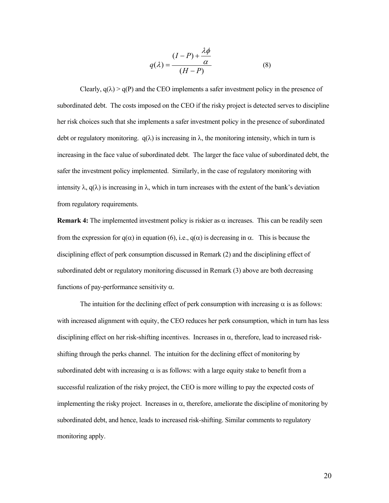$$
q(\lambda) = \frac{(I - P) + \frac{\lambda \phi}{\alpha}}{(H - P)}
$$
(8)

Clearly,  $q(\lambda) > q(P)$  and the CEO implements a safer investment policy in the presence of subordinated debt. The costs imposed on the CEO if the risky project is detected serves to discipline her risk choices such that she implements a safer investment policy in the presence of subordinated debt or regulatory monitoring.  $q(\lambda)$  is increasing in  $\lambda$ , the monitoring intensity, which in turn is increasing in the face value of subordinated debt. The larger the face value of subordinated debt, the safer the investment policy implemented. Similarly, in the case of regulatory monitoring with intensity  $\lambda$ , q( $\lambda$ ) is increasing in  $\lambda$ , which in turn increases with the extent of the bank's deviation from regulatory requirements.

**Remark 4:** The implemented investment policy is riskier as  $\alpha$  increases. This can be readily seen from the expression for  $q(\alpha)$  in equation (6), i.e.,  $q(\alpha)$  is decreasing in  $\alpha$ . This is because the disciplining effect of perk consumption discussed in Remark (2) and the disciplining effect of subordinated debt or regulatory monitoring discussed in Remark (3) above are both decreasing functions of pay-performance sensitivity  $\alpha$ .

The intuition for the declining effect of perk consumption with increasing  $\alpha$  is as follows: with increased alignment with equity, the CEO reduces her perk consumption, which in turn has less disciplining effect on her risk-shifting incentives. Increases in  $\alpha$ , therefore, lead to increased riskshifting through the perks channel. The intuition for the declining effect of monitoring by subordinated debt with increasing  $\alpha$  is as follows: with a large equity stake to benefit from a successful realization of the risky project, the CEO is more willing to pay the expected costs of implementing the risky project. Increases in  $\alpha$ , therefore, ameliorate the discipline of monitoring by subordinated debt, and hence, leads to increased risk-shifting. Similar comments to regulatory monitoring apply.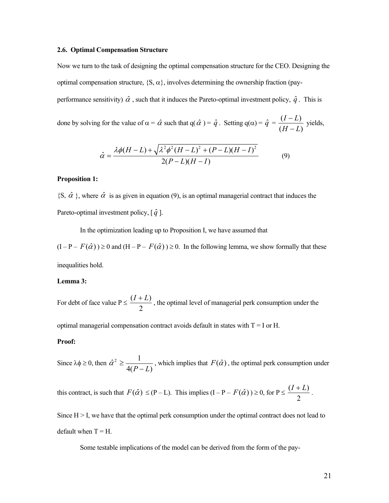#### **2.6. Optimal Compensation Structure**

Now we turn to the task of designing the optimal compensation structure for the CEO. Designing the optimal compensation structure,  $\{S, \alpha\}$ , involves determining the ownership fraction (payperformance sensitivity)  $\hat{\alpha}$ , such that it induces the Pareto-optimal investment policy,  $\hat{q}$ . This is

done by solving for the value of  $\alpha = \hat{\alpha}$  such that  $q(\hat{\alpha}) = \hat{q}$ . Setting  $q(\alpha) = \hat{q}$  $(H-L)$  $(I-L)$ *H I* − *L L*  $\frac{L}{-L}$  yields,

$$
\hat{\alpha} = \frac{\lambda \phi (H - L) + \sqrt{\lambda^2 \phi^2 (H - L)^2 + (P - L)(H - I)^2}}{2(P - L)(H - I)}
$$
(9)

### **Proposition 1:**

 $\{\mathcal{S}, \hat{\alpha}\}\$ , where  $\hat{\alpha}$  is as given in equation (9), is an optimal managerial contract that induces the Pareto-optimal investment policy,  $[\hat{q}]$ .

In the optimization leading up to Proposition I, we have assumed that

 $(I - P - F(\hat{\alpha})) \ge 0$  and  $(H - P - F(\hat{\alpha})) \ge 0$ . In the following lemma, we show formally that these inequalities hold.

#### **Lemma 3:**

For debt of face value  $P \leq \frac{(I+L)}{2}$ 2  $\frac{I+L}{I}$ , the optimal level of managerial perk consumption under the

optimal managerial compensation contract avoids default in states with  $T = I$  or H.

### **Proof:**

Since  $\lambda \phi \geq 0$ , then  $\hat{\alpha}^2 \ge \frac{1}{4(P-L)}$ , which implies that  $F(\hat{\alpha})$ , the optimal perk consumption under

this contract, is such that  $F(\hat{\alpha}) \leq (P - L)$ . This implies  $(I - P - F(\hat{\alpha})) \geq 0$ , for  $P \leq \frac{(I + L)}{2}$ 2  $\frac{I+L}{I}$ .

Since  $H > I$ , we have that the optimal perk consumption under the optimal contract does not lead to default when  $T = H$ .

Some testable implications of the model can be derived from the form of the pay-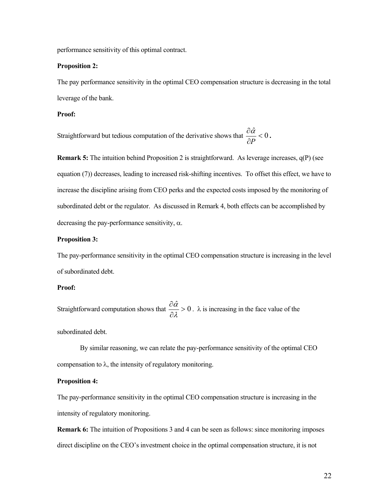performance sensitivity of this optimal contract.

### **Proposition 2:**

The pay performance sensitivity in the optimal CEO compensation structure is decreasing in the total leverage of the bank.

### **Proof:**

Straightforward but tedious computation of the derivative shows that  $\frac{\partial \hat{\alpha}}{\partial n} < 0$ *P*  $\frac{\partial \hat{\alpha}}{\partial P} < 0$ .

**Remark 5:** The intuition behind Proposition 2 is straightforward. As leverage increases, q(P) (see equation (7)) decreases, leading to increased risk-shifting incentives. To offset this effect, we have to increase the discipline arising from CEO perks and the expected costs imposed by the monitoring of subordinated debt or the regulator. As discussed in Remark 4, both effects can be accomplished by decreasing the pay-performance sensitivity,  $\alpha$ .

### **Proposition 3:**

The pay-performance sensitivity in the optimal CEO compensation structure is increasing in the level of subordinated debt.

# **Proof:**

Straightforward computation shows that  $\frac{\partial \hat{\alpha}}{\partial \lambda} > 0$  $\frac{\partial \hat{\alpha}}{\partial \lambda} > 0$ .  $\lambda$  is increasing in the face value of the

subordinated debt.

By similar reasoning, we can relate the pay-performance sensitivity of the optimal CEO compensation to  $\lambda$ , the intensity of regulatory monitoring.

## **Proposition 4:**

The pay-performance sensitivity in the optimal CEO compensation structure is increasing in the intensity of regulatory monitoring.

**Remark 6:** The intuition of Propositions 3 and 4 can be seen as follows: since monitoring imposes direct discipline on the CEO's investment choice in the optimal compensation structure, it is not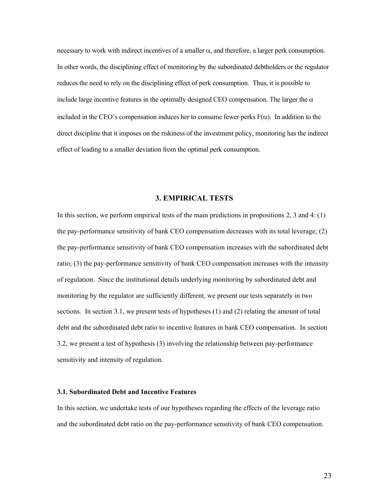necessary to work with indirect incentives of a smaller  $\alpha$ , and therefore, a larger perk consumption. In other words, the disciplining effect of monitoring by the subordinated debtholders or the regulator reduces the need to rely on the disciplining effect of perk consumption. Thus, it is possible to include large incentive features in the optimally designed CEO compensation. The larger the  $\alpha$ included in the CEO's compensation induces her to consume fewer perks  $F(\alpha)$ . In addition to the direct discipline that it imposes on the riskiness of the investment policy, monitoring has the indirect effect of leading to a smaller deviation from the optimal perk consumption.

### **3. EMPIRICAL TESTS**

In this section, we perform empirical tests of the main predictions in propositions 2, 3 and 4: (1) the pay-performance sensitivity of bank CEO compensation decreases with its total leverage; (2) the pay-performance sensitivity of bank CEO compensation increases with the subordinated debt ratio; (3) the pay-performance sensitivity of bank CEO compensation increases with the intensity of regulation. Since the institutional details underlying monitoring by subordinated debt and monitoring by the regulator are sufficiently different, we present our tests separately in two sections. In section 3.1, we present tests of hypotheses (1) and (2) relating the amount of total debt and the subordinated debt ratio to incentive features in bank CEO compensation. In section 3.2, we present a test of hypothesis (3) involving the relationship between pay-performance sensitivity and intensity of regulation.

# **3.1. Subordinated Debt and Incentive Features**

In this section, we undertake tests of our hypotheses regarding the effects of the leverage ratio and the subordinated debt ratio on the pay-performance sensitivity of bank CEO compensation.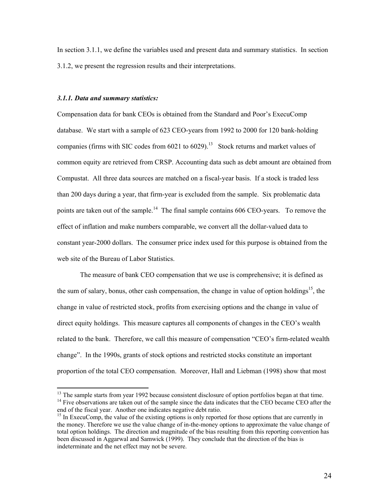In section 3.1.1, we define the variables used and present data and summary statistics. In section 3.1.2, we present the regression results and their interpretations.

# *3.1.1. Data and summary statistics:*

Compensation data for bank CEOs is obtained from the Standard and Poor's ExecuComp database. We start with a sample of 623 CEO-years from 1992 to 2000 for 120 bank-holding companies (firms with SIC codes from  $6021$  to  $6029$ ).<sup>13</sup> Stock returns and market values of common equity are retrieved from CRSP. Accounting data such as debt amount are obtained from Compustat. All three data sources are matched on a fiscal-year basis. If a stock is traded less than 200 days during a year, that firm-year is excluded from the sample. Six problematic data points are taken out of the sample.<sup>14</sup> The final sample contains 606 CEO-years. To remove the effect of inflation and make numbers comparable, we convert all the dollar-valued data to constant year-2000 dollars. The consumer price index used for this purpose is obtained from the web site of the Bureau of Labor Statistics.

The measure of bank CEO compensation that we use is comprehensive; it is defined as the sum of salary, bonus, other cash compensation, the change in value of option holdings<sup>15</sup>, the change in value of restricted stock, profits from exercising options and the change in value of direct equity holdings. This measure captures all components of changes in the CEO's wealth related to the bank. Therefore, we call this measure of compensation "CEO's firm-related wealth change". In the 1990s, grants of stock options and restricted stocks constitute an important proportion of the total CEO compensation. Moreover, Hall and Liebman (1998) show that most

<span id="page-24-1"></span><span id="page-24-0"></span><sup>&</sup>lt;sup>13</sup> The sample starts from year 1992 because consistent disclosure of option portfolios began at that time.  $14$  Five observations are taken out of the sample since the data indicates that the CEO became CEO after the en

<span id="page-24-2"></span><sup>&</sup>lt;sup>15</sup> In ExecuComp, the value of the existing options is only reported for those options that are currently in the money. Therefore we use the value change of in-the-money options to approximate the value change of total option holdings. The direction and magnitude of the bias resulting from this reporting convention has been discussed in Aggarwal and Samwick (1999). They conclude that the direction of the bias is indeterminate and the net effect may not be severe.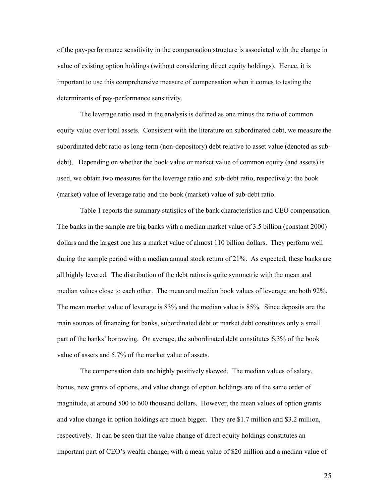of the pay-performance sensitivity in the compensation structure is associated with the change in value of existing option holdings (without considering direct equity holdings). Hence, it is important to use this comprehensive measure of compensation when it comes to testing the determinants of pay-performance sensitivity.

The leverage ratio used in the analysis is defined as one minus the ratio of common equity value over total assets. Consistent with the literature on subordinated debt, we measure the subordinated debt ratio as long-term (non-depository) debt relative to asset value (denoted as subdebt). Depending on whether the book value or market value of common equity (and assets) is used, we obtain two measures for the leverage ratio and sub-debt ratio, respectively: the book (market) value of leverage ratio and the book (market) value of sub-debt ratio.

Table 1 reports the summary statistics of the bank characteristics and CEO compensation. The banks in the sample are big banks with a median market value of 3.5 billion (constant 2000) dollars and the largest one has a market value of almost 110 billion dollars. They perform well during the sample period with a median annual stock return of 21%. As expected, these banks are all highly levered. The distribution of the debt ratios is quite symmetric with the mean and median values close to each other. The mean and median book values of leverage are both 92%. The mean market value of leverage is 83% and the median value is 85%. Since deposits are the main sources of financing for banks, subordinated debt or market debt constitutes only a small part of the banks' borrowing. On average, the subordinated debt constitutes 6.3% of the book value of assets and 5.7% of the market value of assets.

The compensation data are highly positively skewed. The median values of salary, bonus, new grants of options, and value change of option holdings are of the same order of magnitude, at around 500 to 600 thousand dollars. However, the mean values of option grants and value change in option holdings are much bigger. They are \$1.7 million and \$3.2 million, respectively. It can be seen that the value change of direct equity holdings constitutes an important part of CEO's wealth change, with a mean value of \$20 million and a median value of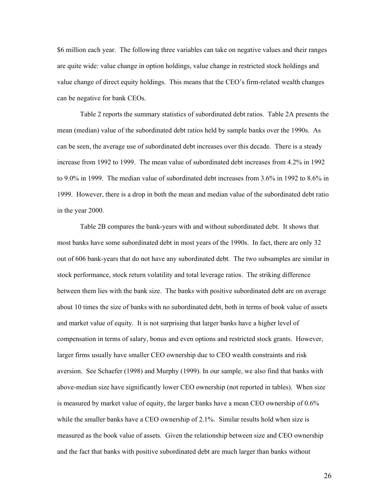\$6 million each year. The following three variables can take on negative values and their ranges are quite wide: value change in option holdings, value change in restricted stock holdings and value change of direct equity holdings. This means that the CEO's firm-related wealth changes can be negative for bank CEOs.

Table 2 reports the summary statistics of subordinated debt ratios. Table 2A presents the mean (median) value of the subordinated debt ratios held by sample banks over the 1990s. As can be seen, the average use of subordinated debt increases over this decade. There is a steady increase from 1992 to 1999. The mean value of subordinated debt increases from 4.2% in 1992 to 9.0% in 1999. The median value of subordinated debt increases from 3.6% in 1992 to 8.6% in 1999. However, there is a drop in both the mean and median value of the subordinated debt ratio in the year 2000.

Table 2B compares the bank-years with and without subordinated debt. It shows that most banks have some subordinated debt in most years of the 1990s. In fact, there are only 32 out of 606 bank-years that do not have any subordinated debt. The two subsamples are similar in stock performance, stock return volatility and total leverage ratios. The striking difference between them lies with the bank size. The banks with positive subordinated debt are on average about 10 times the size of banks with no subordinated debt, both in terms of book value of assets and market value of equity. It is not surprising that larger banks have a higher level of compensation in terms of salary, bonus and even options and restricted stock grants. However, larger firms usually have smaller CEO ownership due to CEO wealth constraints and risk aversion. See Schaefer (1998) and Murphy (1999). In our sample, we also find that banks with above-median size have significantly lower CEO ownership (not reported in tables). When size is measured by market value of equity, the larger banks have a mean CEO ownership of 0.6% while the smaller banks have a CEO ownership of 2.1%. Similar results hold when size is measured as the book value of assets. Given the relationship between size and CEO ownership and the fact that banks with positive subordinated debt are much larger than banks without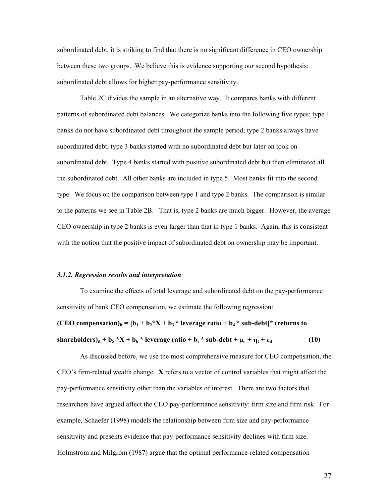subordinated debt, it is striking to find that there is no significant difference in CEO ownership between these two groups. We believe this is evidence supporting our second hypothesis: subordinated debt allows for higher pay-performance sensitivity.

Table 2C divides the sample in an alternative way. It compares banks with different patterns of subordinated debt balances. We categorize banks into the following five types: type 1 banks do not have subordinated debt throughout the sample period; type 2 banks always have subordinated debt; type 3 banks started with no subordinated debt but later on took on subordinated debt. Type 4 banks started with positive subordinated debt but then eliminated all the subordinated debt. All other banks are included in type 5. Most banks fit into the second type. We focus on the comparison between type 1 and type 2 banks. The comparison is similar to the patterns we see in Table 2B. That is, type 2 banks are much bigger. However, the average CEO ownership in type 2 banks is even larger than that in type 1 banks. Again, this is consistent with the notion that the positive impact of subordinated debt on ownership may be important.

#### *3.1.2. Regression results and interpretation*

To examine the effects of total leverage and subordinated debt on the pay-performance sensitivity of bank CEO compensation, we estimate the following regression:

**(CEO compensation)**<sub>it</sub> =  $[b_1 + b_2 * X + b_3 *]$  leverage ratio +  $b_4 *$  sub-debt<sup>\*</sup> (returns to  $\text{sharedovers}_{it}$  +  $\text{b}_5$  \*X +  $\text{b}_6$  \* leverage ratio +  $\text{b}_7$  \*  $\text{sub-debt}$  +  $\mu_i$  +  $\eta_t$  +  $\epsilon_{it}$  (10)

As discussed before, we use the most comprehensive measure for CEO compensation, the CEO's firm-related wealth change. **X** refers to a vector of control variables that might affect the pay-performance sensitivity other than the variables of interest. There are two factors that researchers have argued affect the CEO pay-performance sensitivity: firm size and firm risk. For example, Schaefer (1998) models the relationship between firm size and pay-performance sensitivity and presents evidence that pay-performance sensitivity declines with firm size. Holmstrom and Milgrom (1987) argue that the optimal performance-related compensation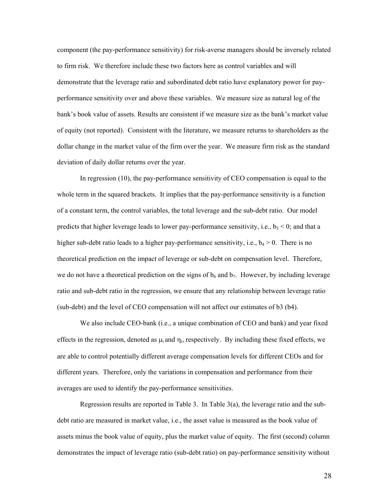component (the pay-performance sensitivity) for risk-averse managers should be inversely related to firm risk. We therefore include these two factors here as control variables and will demonstrate that the leverage ratio and subordinated debt ratio have explanatory power for payperformance sensitivity over and above these variables. We measure size as natural log of the bank's book value of assets. Results are consistent if we measure size as the bank's market value of equity (not reported). Consistent with the literature, we measure returns to shareholders as the dollar change in the market value of the firm over the year. We measure firm risk as the standard deviation of daily dollar returns over the year.

In regression (10), the pay-performance sensitivity of CEO compensation is equal to the whole term in the squared brackets. It implies that the pay-performance sensitivity is a function of a constant term, the control variables, the total leverage and the sub-debt ratio. Our model predicts that higher leverage leads to lower pay-performance sensitivity, i.e.,  $b_3 < 0$ ; and that a higher sub-debt ratio leads to a higher pay-performance sensitivity, i.e.,  $b_4 > 0$ . There is no theoretical prediction on the impact of leverage or sub-debt on compensation level. Therefore, we do not have a theoretical prediction on the signs of  $b<sub>6</sub>$  and  $b<sub>7</sub>$ . However, by including leverage ratio and sub-debt ratio in the regression, we ensure that any relationship between leverage ratio (sub-debt) and the level of CEO compensation will not affect our estimates of b3 (b4).

We also include CEO-bank (i.e., a unique combination of CEO and bank) and year fixed effects in the regression, denoted as  $\mu_i$  and  $\eta_t$ , respectively. By including these fixed effects, we are able to control potentially different average compensation levels for different CEOs and for different years. Therefore, only the variations in compensation and performance from their averages are used to identify the pay-performance sensitivities.

Regression results are reported in Table 3. In Table 3(a), the leverage ratio and the subdebt ratio are measured in market value, i.e., the asset value is measured as the book value of assets minus the book value of equity, plus the market value of equity. The first (second) column demonstrates the impact of leverage ratio (sub-debt ratio) on pay-performance sensitivity without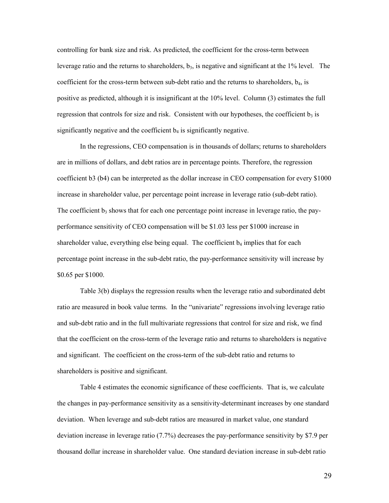controlling for bank size and risk. As predicted, the coefficient for the cross-term between leverage ratio and the returns to shareholders,  $b_3$ , is negative and significant at the 1% level. The coefficient for the cross-term between sub-debt ratio and the returns to shareholders,  $b_4$ , is positive as predicted, although it is insignificant at the 10% level. Column (3) estimates the full regression that controls for size and risk. Consistent with our hypotheses, the coefficient  $b<sub>3</sub>$  is significantly negative and the coefficient  $b_4$  is significantly negative.

In the regressions, CEO compensation is in thousands of dollars; returns to shareholders are in millions of dollars, and debt ratios are in percentage points. Therefore, the regression coefficient b3 (b4) can be interpreted as the dollar increase in CEO compensation for every \$1000 increase in shareholder value, per percentage point increase in leverage ratio (sub-debt ratio). The coefficient  $b_3$  shows that for each one percentage point increase in leverage ratio, the payperformance sensitivity of CEO compensation will be \$1.03 less per \$1000 increase in shareholder value, everything else being equal. The coefficient  $b_4$  implies that for each percentage point increase in the sub-debt ratio, the pay-performance sensitivity will increase by \$0.65 per \$1000.

Table 3(b) displays the regression results when the leverage ratio and subordinated debt ratio are measured in book value terms. In the "univariate" regressions involving leverage ratio and sub-debt ratio and in the full multivariate regressions that control for size and risk, we find that the coefficient on the cross-term of the leverage ratio and returns to shareholders is negative and significant. The coefficient on the cross-term of the sub-debt ratio and returns to shareholders is positive and significant.

Table 4 estimates the economic significance of these coefficients. That is, we calculate the changes in pay-performance sensitivity as a sensitivity-determinant increases by one standard deviation. When leverage and sub-debt ratios are measured in market value, one standard deviation increase in leverage ratio (7.7%) decreases the pay-performance sensitivity by \$7.9 per thousand dollar increase in shareholder value. One standard deviation increase in sub-debt ratio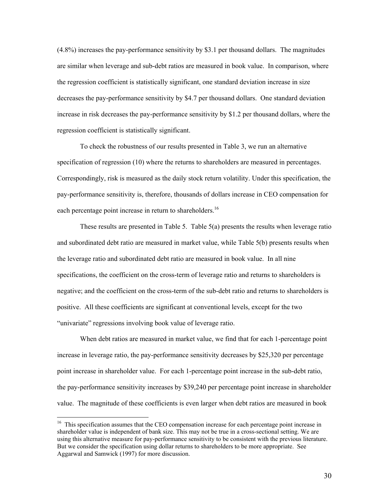(4.8%) increases the pay-performance sensitivity by \$3.1 per thousand dollars. The magnitudes are similar when leverage and sub-debt ratios are measured in book value. In comparison, where the regression coefficient is statistically significant, one standard deviation increase in size decreases the pay-performance sensitivity by \$4.7 per thousand dollars. One standard deviation increase in risk decreases the pay-performance sensitivity by \$1.2 per thousand dollars, where the regression coefficient is statistically significant.

To check the robustness of our results presented in Table 3, we run an alternative specification of regression (10) where the returns to shareholders are measured in percentages. Correspondingly, risk is measured as the daily stock return volatility. Under this specification, the pay-performance sensitivity is, therefore, thousands of dollars increase in CEO compensation for each percentage point increase in return to shareholders.<sup>16</sup>

These results are presented in Table 5. Table 5(a) presents the results when leverage ratio and subordinated debt ratio are measured in market value, while Table 5(b) presents results when the leverage ratio and subordinated debt ratio are measured in book value. In all nine specifications, the coefficient on the cross-term of leverage ratio and returns to shareholders is negative; and the coefficient on the cross-term of the sub-debt ratio and returns to shareholders is positive. All these coefficients are significant at conventional levels, except for the two "univariate" regressions involving book value of leverage ratio.

When debt ratios are measured in market value, we find that for each 1-percentage point increase in leverage ratio, the pay-performance sensitivity decreases by \$25,320 per percentage point increase in shareholder value. For each 1-percentage point increase in the sub-debt ratio, the pay-performance sensitivity increases by \$39,240 per percentage point increase in shareholder value. The magnitude of these coefficients is even larger when debt ratios are measured in book

<span id="page-30-0"></span><sup>&</sup>lt;sup>16</sup> This specification assumes that the CEO compensation increase for each percentage point increase in shareholder value is independent of bank size. This may not be true in a cross-sectional setting. We are using this alternative measure for pay-performance sensitivity to be consistent with the previous literature. But we consider the specification using dollar returns to shareholders to be more appropriate. See Aggarwal and Samwick (1997) for more discussion.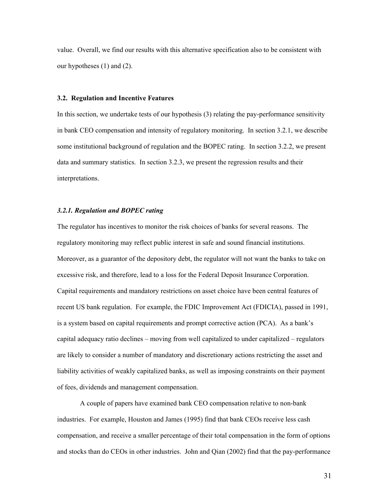value. Overall, we find our results with this alternative specification also to be consistent with our hypotheses (1) and (2).

### **3.2. Regulation and Incentive Features**

In this section, we undertake tests of our hypothesis (3) relating the pay-performance sensitivity in bank CEO compensation and intensity of regulatory monitoring. In section 3.2.1, we describe some institutional background of regulation and the BOPEC rating. In section 3.2.2, we present data and summary statistics. In section 3.2.3, we present the regression results and their interpretations.

### *3.2.1. Regulation and BOPEC rating*

The regulator has incentives to monitor the risk choices of banks for several reasons. The regulatory monitoring may reflect public interest in safe and sound financial institutions. Moreover, as a guarantor of the depository debt, the regulator will not want the banks to take on excessive risk, and therefore, lead to a loss for the Federal Deposit Insurance Corporation. Capital requirements and mandatory restrictions on asset choice have been central features of recent US bank regulation. For example, the FDIC Improvement Act (FDICIA), passed in 1991, is a system based on capital requirements and prompt corrective action (PCA). As a bank's capital adequacy ratio declines – moving from well capitalized to under capitalized – regulators are likely to consider a number of mandatory and discretionary actions restricting the asset and liability activities of weakly capitalized banks, as well as imposing constraints on their payment of fees, dividends and management compensation.

A couple of papers have examined bank CEO compensation relative to non-bank industries. For example, Houston and James (1995) find that bank CEOs receive less cash compensation, and receive a smaller percentage of their total compensation in the form of options and stocks than do CEOs in other industries. John and Qian (2002) find that the pay-performance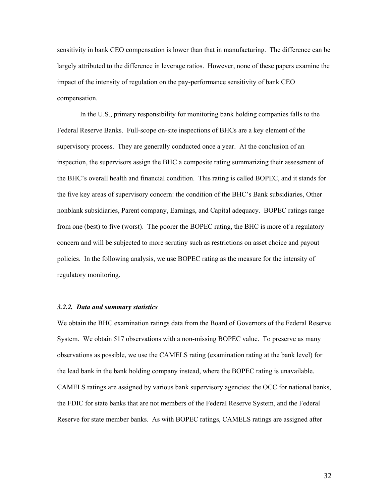sensitivity in bank CEO compensation is lower than that in manufacturing. The difference can be largely attributed to the difference in leverage ratios. However, none of these papers examine the impact of the intensity of regulation on the pay-performance sensitivity of bank CEO compensation.

In the U.S., primary responsibility for monitoring bank holding companies falls to the Federal Reserve Banks. Full-scope on-site inspections of BHCs are a key element of the supervisory process. They are generally conducted once a year. At the conclusion of an inspection, the supervisors assign the BHC a composite rating summarizing their assessment of the BHC's overall health and financial condition. This rating is called BOPEC, and it stands for the five key areas of supervisory concern: the condition of the BHC's Bank subsidiaries, Other nonblank subsidiaries, Parent company, Earnings, and Capital adequacy. BOPEC ratings range from one (best) to five (worst). The poorer the BOPEC rating, the BHC is more of a regulatory concern and will be subjected to more scrutiny such as restrictions on asset choice and payout policies. In the following analysis, we use BOPEC rating as the measure for the intensity of regulatory monitoring.

### *3.2.2. Data and summary statistics*

We obtain the BHC examination ratings data from the Board of Governors of the Federal Reserve System. We obtain 517 observations with a non-missing BOPEC value. To preserve as many observations as possible, we use the CAMELS rating (examination rating at the bank level) for the lead bank in the bank holding company instead, where the BOPEC rating is unavailable. CAMELS ratings are assigned by various bank supervisory agencies: the OCC for national banks, the FDIC for state banks that are not members of the Federal Reserve System, and the Federal Reserve for state member banks. As with BOPEC ratings, CAMELS ratings are assigned after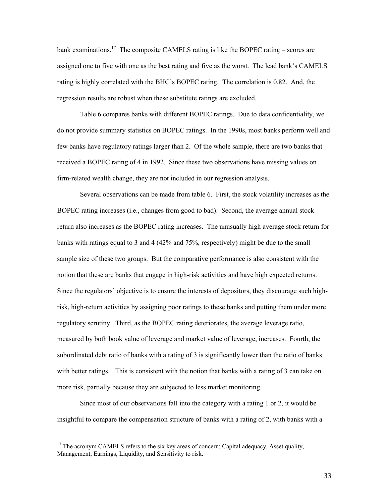bank examinations.<sup>17</sup> The composite CAMELS rating is like the BOPEC rating – scores are assigned one to five with one as the best rating and five as the worst. The lead bank's CAMELS rating is highly correlated with the BHC's BOPEC rating. The correlation is 0.82. And, the regression results are robust when these substitute ratings are excluded.

Table 6 compares banks with different BOPEC ratings. Due to data confidentiality, we do not provide summary statistics on BOPEC ratings. In the 1990s, most banks perform well and few banks have regulatory ratings larger than 2. Of the whole sample, there are two banks that received a BOPEC rating of 4 in 1992. Since these two observations have missing values on firm-related wealth change, they are not included in our regression analysis.

Several observations can be made from table 6. First, the stock volatility increases as the BOPEC rating increases (i.e., changes from good to bad). Second, the average annual stock return also increases as the BOPEC rating increases. The unusually high average stock return for banks with ratings equal to 3 and 4 (42% and 75%, respectively) might be due to the small sample size of these two groups. But the comparative performance is also consistent with the notion that these are banks that engage in high-risk activities and have high expected returns. Since the regulators' objective is to ensure the interests of depositors, they discourage such highrisk, high-return activities by assigning poor ratings to these banks and putting them under more regulatory scrutiny. Third, as the BOPEC rating deteriorates, the average leverage ratio, measured by both book value of leverage and market value of leverage, increases. Fourth, the subordinated debt ratio of banks with a rating of 3 is significantly lower than the ratio of banks with better ratings. This is consistent with the notion that banks with a rating of 3 can take on more risk, partially because they are subjected to less market monitoring.

Since most of our observations fall into the category with a rating 1 or 2, it would be insightful to compare the compensation structure of banks with a rating of 2, with banks with a

<span id="page-33-0"></span><sup>&</sup>lt;sup>17</sup> The acronym CAMELS refers to the six key areas of concern: Capital adequacy, Asset quality, Management, Earnings, Liquidity, and Sensitivity to risk.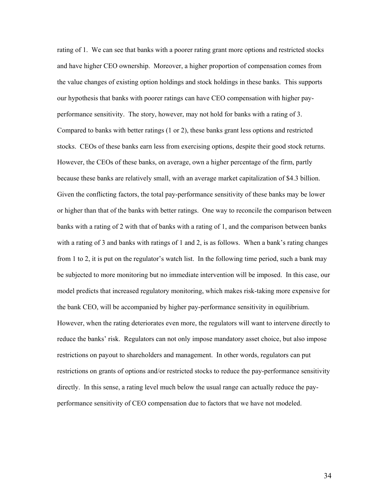rating of 1. We can see that banks with a poorer rating grant more options and restricted stocks and have higher CEO ownership. Moreover, a higher proportion of compensation comes from the value changes of existing option holdings and stock holdings in these banks. This supports our hypothesis that banks with poorer ratings can have CEO compensation with higher payperformance sensitivity. The story, however, may not hold for banks with a rating of 3. Compared to banks with better ratings (1 or 2), these banks grant less options and restricted stocks. CEOs of these banks earn less from exercising options, despite their good stock returns. However, the CEOs of these banks, on average, own a higher percentage of the firm, partly because these banks are relatively small, with an average market capitalization of \$4.3 billion. Given the conflicting factors, the total pay-performance sensitivity of these banks may be lower or higher than that of the banks with better ratings. One way to reconcile the comparison between banks with a rating of 2 with that of banks with a rating of 1, and the comparison between banks with a rating of 3 and banks with ratings of 1 and 2, is as follows. When a bank's rating changes from 1 to 2, it is put on the regulator's watch list. In the following time period, such a bank may be subjected to more monitoring but no immediate intervention will be imposed. In this case, our model predicts that increased regulatory monitoring, which makes risk-taking more expensive for the bank CEO, will be accompanied by higher pay-performance sensitivity in equilibrium. However, when the rating deteriorates even more, the regulators will want to intervene directly to reduce the banks' risk. Regulators can not only impose mandatory asset choice, but also impose restrictions on payout to shareholders and management. In other words, regulators can put restrictions on grants of options and/or restricted stocks to reduce the pay-performance sensitivity directly. In this sense, a rating level much below the usual range can actually reduce the payperformance sensitivity of CEO compensation due to factors that we have not modeled.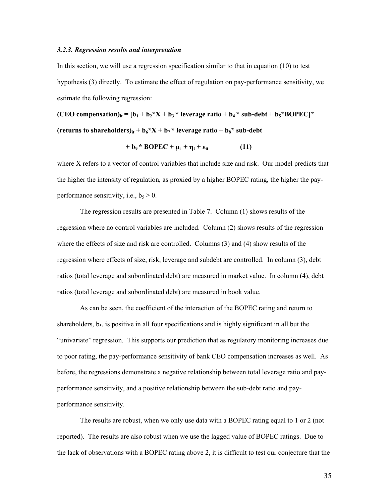#### *3.2.3. Regression results and interpretation*

In this section, we will use a regression specification similar to that in equation (10) to test hypothesis (3) directly. To estimate the effect of regulation on pay-performance sensitivity, we estimate the following regression:

**(CEO compensation)**<sub>it</sub> =  $[b_1 + b_2 * X + b_3 *]$  leverage ratio +  $b_4 *$  sub-debt +  $b_5 * BOPEC] *$ (returns to shareholders)<sub>it</sub> +  $b_6*X + b_7*$  leverage ratio +  $b_8*$  sub-debt

$$
+ b_9 * BOPEC + \mu_i + \eta_t + \varepsilon_{it}
$$
 (11)

where X refers to a vector of control variables that include size and risk. Our model predicts that the higher the intensity of regulation, as proxied by a higher BOPEC rating, the higher the payperformance sensitivity, i.e.,  $b_5 > 0$ .

The regression results are presented in Table 7. Column (1) shows results of the regression where no control variables are included. Column (2) shows results of the regression where the effects of size and risk are controlled. Columns (3) and (4) show results of the regression where effects of size, risk, leverage and subdebt are controlled. In column (3), debt ratios (total leverage and subordinated debt) are measured in market value. In column (4), debt ratios (total leverage and subordinated debt) are measured in book value.

As can be seen, the coefficient of the interaction of the BOPEC rating and return to shareholders,  $b_5$ , is positive in all four specifications and is highly significant in all but the "univariate" regression. This supports our prediction that as regulatory monitoring increases due to poor rating, the pay-performance sensitivity of bank CEO compensation increases as well. As before, the regressions demonstrate a negative relationship between total leverage ratio and payperformance sensitivity, and a positive relationship between the sub-debt ratio and payperformance sensitivity.

The results are robust, when we only use data with a BOPEC rating equal to 1 or 2 (not reported). The results are also robust when we use the lagged value of BOPEC ratings. Due to the lack of observations with a BOPEC rating above 2, it is difficult to test our conjecture that the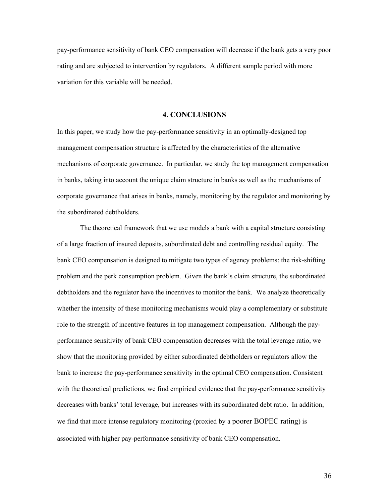pay-performance sensitivity of bank CEO compensation will decrease if the bank gets a very poor rating and are subjected to intervention by regulators. A different sample period with more variation for this variable will be needed.

## **4. CONCLUSIONS**

In this paper, we study how the pay-performance sensitivity in an optimally-designed top management compensation structure is affected by the characteristics of the alternative mechanisms of corporate governance. In particular, we study the top management compensation in banks, taking into account the unique claim structure in banks as well as the mechanisms of corporate governance that arises in banks, namely, monitoring by the regulator and monitoring by the subordinated debtholders.

The theoretical framework that we use models a bank with a capital structure consisting of a large fraction of insured deposits, subordinated debt and controlling residual equity. The bank CEO compensation is designed to mitigate two types of agency problems: the risk-shifting problem and the perk consumption problem. Given the bank's claim structure, the subordinated debtholders and the regulator have the incentives to monitor the bank. We analyze theoretically whether the intensity of these monitoring mechanisms would play a complementary or substitute role to the strength of incentive features in top management compensation. Although the payperformance sensitivity of bank CEO compensation decreases with the total leverage ratio, we show that the monitoring provided by either subordinated debtholders or regulators allow the bank to increase the pay-performance sensitivity in the optimal CEO compensation. Consistent with the theoretical predictions, we find empirical evidence that the pay-performance sensitivity decreases with banks' total leverage, but increases with its subordinated debt ratio. In addition, we find that more intense regulatory monitoring (proxied by a poorer BOPEC rating) is associated with higher pay-performance sensitivity of bank CEO compensation.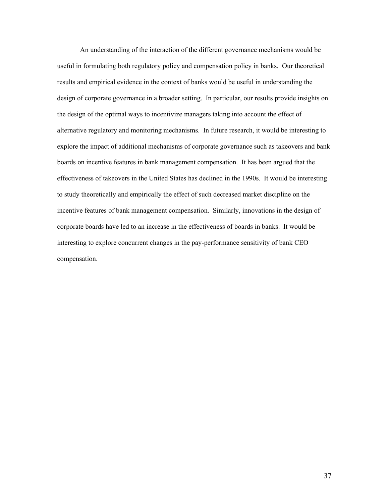An understanding of the interaction of the different governance mechanisms would be useful in formulating both regulatory policy and compensation policy in banks. Our theoretical results and empirical evidence in the context of banks would be useful in understanding the design of corporate governance in a broader setting. In particular, our results provide insights on the design of the optimal ways to incentivize managers taking into account the effect of alternative regulatory and monitoring mechanisms. In future research, it would be interesting to explore the impact of additional mechanisms of corporate governance such as takeovers and bank boards on incentive features in bank management compensation. It has been argued that the effectiveness of takeovers in the United States has declined in the 1990s. It would be interesting to study theoretically and empirically the effect of such decreased market discipline on the incentive features of bank management compensation. Similarly, innovations in the design of corporate boards have led to an increase in the effectiveness of boards in banks. It would be interesting to explore concurrent changes in the pay-performance sensitivity of bank CEO compensation.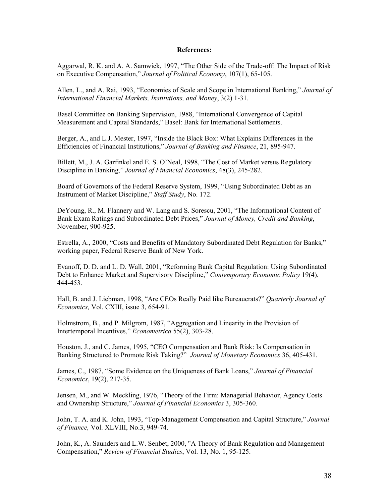### **References:**

Aggarwal, R. K. and A. A. Samwick, 1997, "The Other Side of the Trade-off: The Impact of Risk on Executive Compensation," *Journal of Political Economy*, 107(1), 65-105.

Allen, L., and A. Rai, 1993, "Economies of Scale and Scope in International Banking," *Journal of International Financial Markets, Institutions, and Money*, 3(2) 1-31.

Basel Committee on Banking Supervision, 1988, "International Convergence of Capital Measurement and Capital Standards," Basel: Bank for International Settlements.

Berger, A., and L.J. Mester, 1997, "Inside the Black Box: What Explains Differences in the Efficiencies of Financial Institutions," *Journal of Banking and Finance*, 21, 895-947.

Billett, M., J. A. Garfinkel and E. S. O'Neal, 1998, "The Cost of Market versus Regulatory Discipline in Banking," *Journal of Financial Economics*, 48(3), 245-282.

Board of Governors of the Federal Reserve System, 1999, "Using Subordinated Debt as an Instrument of Market Discipline," *Staff Study*, No. 172.

DeYoung, R., M. Flannery and W. Lang and S. Sorescu, 2001, "The Informational Content of Bank Exam Ratings and Subordinated Debt Prices," *Journal of Money, Credit and Banking*, November, 900-925.

Estrella, A., 2000, "Costs and Benefits of Mandatory Subordinated Debt Regulation for Banks," working paper, Federal Reserve Bank of New York.

Evanoff, D. D. and L. D. Wall, 2001, "Reforming Bank Capital Regulation: Using Subordinated Debt to Enhance Market and Supervisory Discipline," *Contemporary Economic Policy* 19(4), 444-453.

Hall, B. and J. Liebman, 1998, "Are CEOs Really Paid like Bureaucrats?" *Quarterly Journal of Economics,* Vol. CXIII, issue 3, 654-91.

Holmstrom, B., and P. Milgrom, 1987, "Aggregation and Linearity in the Provision of Intertemporal Incentives," *Econometrica* 55(2), 303-28.

Houston, J., and C. James, 1995, "CEO Compensation and Bank Risk: Is Compensation in Banking Structured to Promote Risk Taking?" *Journal of Monetary Economics* 36, 405-431.

James, C., 1987, "Some Evidence on the Uniqueness of Bank Loans," *Journal of Financial Economics*, 19(2), 217-35.

Jensen, M., and W. Meckling, 1976, "Theory of the Firm: Managerial Behavior, Agency Costs and Ownership Structure," *Journal of Financial Economics* 3, 305-360.

John, T. A. and K. John, 1993, "Top-Management Compensation and Capital Structure," *Journal of Finance,* Vol. XLVIII, No.3, 949-74.

John, K., A. Saunders and L.W. Senbet, 2000, "A Theory of Bank Regulation and Management Compensation," *Review of Financial Studies*, Vol. 13, No. 1, 95-125.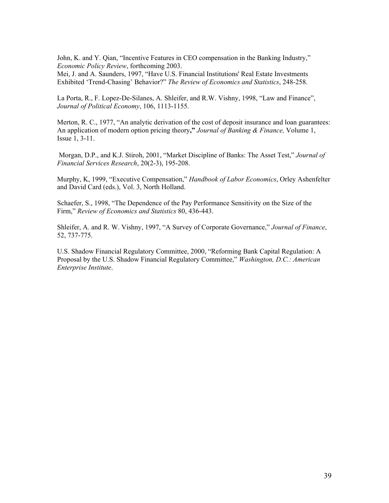John, K. and Y. Qian, "Incentive Features in CEO compensation in the Banking Industry," *Economic Policy Review*, forthcoming 2003.

Mei, J. and A. Saunders, 1997, "Have U.S. Financial Institutions' Real Estate Investments Exhibited 'Trend-Chasing' Behavior?" *The Review of Economics and Statistics*, 248-258.

La Porta, R., F. Lopez-De-Silanes, A. Shleifer, and R.W. Vishny, 1998, "Law and Finance", *Journal of Political Economy*, 106, 1113-1155.

Merton, R. C., 1977, "An analytic derivation of the cost of deposit insurance and loan guarantees: An application of modern option pricing theory**,"** *Journal of Banking & Finance,* Volume 1, Issue 1, 3-11.

 Morgan, D.P., and K.J. Stiroh, 2001, "Market Discipline of Banks: The Asset Test," *Journal of Financial Services Research*, 20(2-3), 195-208.

Murphy, K, 1999, "Executive Compensation," *Handbook of Labor Economics*, Orley Ashenfelter and David Card (eds.), Vol. 3, North Holland.

Schaefer, S., 1998, "The Dependence of the Pay Performance Sensitivity on the Size of the Firm," *Review of Economics and Statistics* 80, 436-443.

Shleifer, A. and R. W. Vishny, 1997, "A Survey of Corporate Governance," *Journal of Finance*, 52, 737-775.

U.S. Shadow Financial Regulatory Committee, 2000, "Reforming Bank Capital Regulation: A Proposal by the U.S. Shadow Financial Regulatory Committee," *Washington, D.C.: American Enterprise Institute*.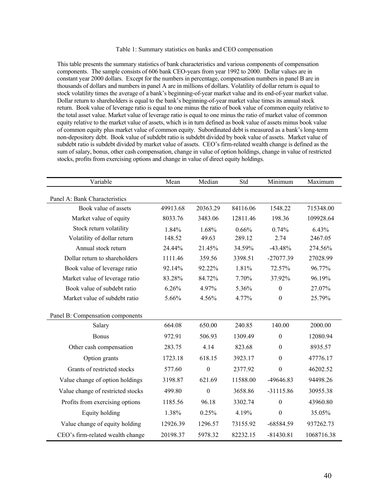### Table 1: Summary statistics on banks and CEO compensation

This table presents the summary statistics of bank characteristics and various components of compensation components. The sample consists of 606 bank CEO-years from year 1992 to 2000. Dollar values are in constant year 2000 dollars. Except for the numbers in percentage, compensation numbers in panel B are in thousands of dollars and numbers in panel A are in millions of dollars. Volatility of dollar return is equal to stock volatility times the average of a bank's beginning-of-year market value and its end-of-year market value. Dollar return to shareholders is equal to the bank's beginning-of-year market value times its annual stock return. Book value of leverage ratio is equal to one minus the ratio of book value of common equity relative to the total asset value. Market value of leverage ratio is equal to one minus the ratio of market value of common equity relative to the market value of assets, which is in turn defined as book value of assets minus book value of common equity plus market value of common equity. Subordinated debt is measured as a bank's long-term non-depository debt. Book value of subdebt ratio is subdebt divided by book value of assets. Market value of subdebt ratio is subdebt divided by market value of assets. CEO's firm-related wealth change is defined as the sum of salary, bonus, other cash compensation, change in value of option holdings, change in value of restricted stocks, profits from exercising options and change in value of direct equity holdings.

| Variable                          | Mean     | Median       | Std      | Minimum          | Maximum    |
|-----------------------------------|----------|--------------|----------|------------------|------------|
| Panel A: Bank Characteristics     |          |              |          |                  |            |
| Book value of assets              | 49913.68 | 20363.29     | 84116.06 | 1548.22          | 715348.00  |
| Market value of equity            | 8033.76  | 3483.06      | 12811.46 | 198.36           | 109928.64  |
| Stock return volatility           | 1.84%    | 1.68%        | 0.66%    | 0.74%            | 6.43%      |
| Volatility of dollar return       | 148.52   | 49.63        | 289.12   | 2.74             | 2467.05    |
| Annual stock return               | 24.44%   | 21.45%       | 34.59%   | $-43.48%$        | 274.56%    |
| Dollar return to shareholders     | 1111.46  | 359.56       | 3398.51  | $-27077.39$      | 27028.99   |
| Book value of leverage ratio      | 92.14%   | 92.22%       | 1.81%    | 72.57%           | 96.77%     |
| Market value of leverage ratio    | 83.28%   | 84.72%       | 7.70%    | 37.92%           | 96.19%     |
| Book value of subdebt ratio       | 6.26%    | 4.97%        | 5.36%    | $\boldsymbol{0}$ | 27.07%     |
| Market value of subdebt ratio     | 5.66%    | 4.56%        | 4.77%    | $\theta$         | 25.79%     |
| Panel B: Compensation components  |          |              |          |                  |            |
| Salary                            | 664.08   | 650.00       | 240.85   | 140.00           | 2000.00    |
| <b>Bonus</b>                      | 972.91   | 506.93       | 1309.49  | $\boldsymbol{0}$ | 12080.94   |
| Other cash compensation           | 283.75   | 4.14         | 823.68   | $\boldsymbol{0}$ | 8935.57    |
| Option grants                     | 1723.18  | 618.15       | 3923.17  | $\boldsymbol{0}$ | 47776.17   |
| Grants of restricted stocks       | 577.60   | $\mathbf{0}$ | 2377.92  | $\mathbf{0}$     | 46202.52   |
| Value change of option holdings   | 3198.87  | 621.69       | 11588.00 | -49646.83        | 94498.26   |
| Value change of restricted stocks | 499.80   | $\mathbf{0}$ | 3658.86  | $-31115.86$      | 30955.38   |
| Profits from exercising options   | 1185.56  | 96.18        | 3302.74  | $\boldsymbol{0}$ | 43960.80   |
| Equity holding                    | 1.38%    | 0.25%        | 4.19%    | $\boldsymbol{0}$ | 35.05%     |
| Value change of equity holding    | 12926.39 | 1296.57      | 73155.92 | $-68584.59$      | 937262.73  |
| CEO's firm-related wealth change  | 20198.37 | 5978.32      | 82232.15 | $-81430.81$      | 1068716.38 |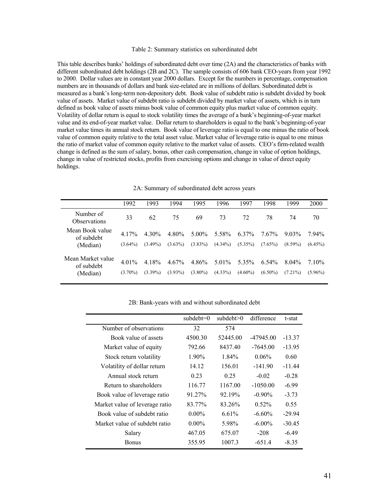#### Table 2: Summary statistics on subordinated debt

This table describes banks' holdings of subordinated debt over time (2A) and the characteristics of banks with different subordinated debt holdings (2B and 2C). The sample consists of 606 bank CEO-years from year 1992 to 2000. Dollar values are in constant year 2000 dollars. Except for the numbers in percentage, compensation numbers are in thousands of dollars and bank size-related are in millions of dollars. Subordinated debt is measured as a bank's long-term non-depository debt. Book value of subdebt ratio is subdebt divided by book value of assets. Market value of subdebt ratio is subdebt divided by market value of assets, which is in turn defined as book value of assets minus book value of common equity plus market value of common equity. Volatility of dollar return is equal to stock volatility times the average of a bank's beginning-of-year market value and its end-of-year market value. Dollar return to shareholders is equal to the bank's beginning-of-year market value times its annual stock return. Book value of leverage ratio is equal to one minus the ratio of book value of common equity relative to the total asset value. Market value of leverage ratio is equal to one minus the ratio of market value of common equity relative to the market value of assets. CEO's firm-related wealth change is defined as the sum of salary, bonus, other cash compensation, change in value of option holdings, change in value of restricted stocks, profits from exercising options and change in value of direct equity holdings.

|                                             | 1992                   | 1993                | 1994                   | 1995                | 1996                   | 1997                | 1998                   | 1999                   | 2000               |
|---------------------------------------------|------------------------|---------------------|------------------------|---------------------|------------------------|---------------------|------------------------|------------------------|--------------------|
| Number of<br><b>Observations</b>            | 33                     | 62                  | 75                     | 69                  | 73                     | 72                  | 78                     | 74                     | 70                 |
| Mean Book value<br>of subdebt               | 4 1 7%                 | $4.30\%$            | 4.80%                  | $5.00\%$            | 5.58%                  | 6.37%               | 7.67%                  | $9.03\%$               | 794%               |
| (Median)                                    | $(3.64\%)$             | $(3.49\%)$          | $(3.63\%)$             | $(3.83\%)$          | $(4.34\%)$             | $(5.35\%)$          | $(7.65\%)$             | $(8.59\%)$             | $(6.45\%)$         |
| Mean Market value<br>of subdebt<br>(Median) | $4.01\%$<br>$(3.70\%)$ | 4.18%<br>$(3.39\%)$ | $4.67\%$<br>$(3.93\%)$ | 4.86%<br>$(3.80\%)$ | $5.01\%$<br>$(4.33\%)$ | 5.35%<br>$(4.60\%)$ | $6.54\%$<br>$(6.50\%)$ | $8.04\%$<br>$(7.21\%)$ | 710%<br>$(5.96\%)$ |
|                                             |                        |                     |                        |                     |                        |                     |                        |                        |                    |

2A: Summary of subordinated debt across years

|  |  | 2B: Bank-years with and without subordinated debt |  |
|--|--|---------------------------------------------------|--|
|  |  |                                                   |  |

|                                | $subdebt=0$ | subdebt>0 | difference  | t-stat   |
|--------------------------------|-------------|-----------|-------------|----------|
| Number of observations         | 32          | 574       |             |          |
| Book value of assets           | 4500.30     | 52445.00  | $-47945.00$ | $-13.37$ |
| Market value of equity         | 792.66      | 8437.40   | $-7645.00$  | $-13.95$ |
| Stock return volatility        | 1.90%       | $1.84\%$  | $0.06\%$    | 0.60     |
| Volatility of dollar return    | 14.12       | 156.01    | $-141.90$   | $-11.44$ |
| Annual stock return            | 0.23        | 0.25      | $-0.02$     | $-0.28$  |
| Return to shareholders         | 116.77      | 1167.00   | $-1050.00$  | $-6.99$  |
| Book value of leverage ratio   | 91.27%      | 92.19%    | $-0.90\%$   | $-3.73$  |
| Market value of leverage ratio | 83.77%      | 83.26%    | $0.52\%$    | 0.55     |
| Book value of subdebt ratio    | $0.00\%$    | 6.61%     | $-6.60\%$   | $-29.94$ |
| Market value of subdebt ratio  | $0.00\%$    | 5.98%     | $-6.00\%$   | $-30.45$ |
| Salary                         | 467.05      | 675.07    | $-208$      | $-6.49$  |
| <b>Bonus</b>                   | 355.95      | 1007.3    | $-6514$     | $-8.35$  |
|                                |             |           |             |          |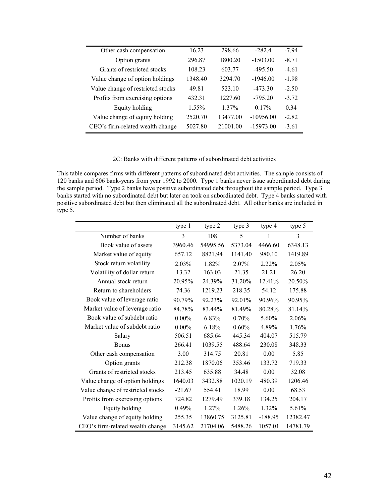| Other cash compensation           | 16.23    | 298.66   | $-282.4$    | $-7.94$ |
|-----------------------------------|----------|----------|-------------|---------|
| Option grants                     | 296.87   | 1800.20  | $-1503.00$  | $-8.71$ |
| Grants of restricted stocks       | 108.23   | 603.77   | $-495.50$   | $-461$  |
| Value change of option holdings   | 1348.40  | 3294.70  | $-1946.00$  | $-1.98$ |
| Value change of restricted stocks | 49.81    | 523.10   | $-473.30$   | $-2.50$ |
| Profits from exercising options   | 432 31   | 1227.60  | $-795.20$   | $-3.72$ |
| Equity holding                    | $1.55\%$ | $1.37\%$ | $0.17\%$    | 0.34    |
| Value change of equity holding    | 2520.70  | 13477.00 | $-10956.00$ | $-2.82$ |
| CEO's firm-related wealth change  | 5027.80  | 21001.00 | $-15973.00$ | $-361$  |
|                                   |          |          |             |         |

# 2C: Banks with different patterns of subordinated debt activities

This table compares firms with different patterns of subordinated debt activities. The sample consists of 120 banks and 606 bank-years from year 1992 to 2000. Type 1 banks never issue subordinated debt during the sample period. Type 2 banks have positive subordinated debt throughout the sample period. Type 3 banks started with no subordinated debt but later on took on subordinated debt. Type 4 banks started with positive subordinated debt but then eliminated all the subordinated debt. All other banks are included in type 5.

|                                   | type 1   | type 2   | type 3   | type 4    | type 5   |
|-----------------------------------|----------|----------|----------|-----------|----------|
| Number of banks                   | 3        | 108      | 5        |           | 3        |
| Book value of assets              | 3960.46  | 54995.56 | 5373.04  | 4466.60   | 6348.13  |
| Market value of equity            | 657.12   | 8821.94  | 1141.40  | 980.10    | 1419.89  |
| Stock return volatility           | 2.03%    | 1.82%    | $2.07\%$ | 2.22%     | 2.05%    |
| Volatility of dollar return       | 13.32    | 163.03   | 21.35    | 21.21     | 26.20    |
| Annual stock return               | 20.95%   | 24.39%   | 31.20%   | 12.41%    | 20.50%   |
| Return to shareholders            | 74.36    | 1219.23  | 218.35   | 54.12     | 175.88   |
| Book value of leverage ratio      | 90.79%   | 92.23%   | 92.01%   | 90.96%    | 90.95%   |
| Market value of leverage ratio    | 84.78%   | 83.44%   | 81.49%   | 80.28%    | 81.14%   |
| Book value of subdebt ratio       | $0.00\%$ | 6.83%    | 0.70%    | 5.60%     | 2.06%    |
| Market value of subdebt ratio     | $0.00\%$ | 6.18%    | $0.60\%$ | 4.89%     | 1.76%    |
| Salary                            | 506.51   | 685.64   | 445.34   | 404.07    | 515.79   |
| <b>Bonus</b>                      | 266.41   | 1039.55  | 488.64   | 230.08    | 348.33   |
| Other cash compensation           | 3.00     | 314.75   | 20.81    | 0.00      | 5.85     |
| Option grants                     | 212.38   | 1870.06  | 353.46   | 133.72    | 719.33   |
| Grants of restricted stocks       | 213.45   | 635.88   | 34.48    | 0.00      | 32.08    |
| Value change of option holdings   | 1640.03  | 3432.88  | 1020.19  | 480.39    | 1206.46  |
| Value change of restricted stocks | $-21.67$ | 554.41   | 18.99    | 0.00      | 68.53    |
| Profits from exercising options   | 724.82   | 1279.49  | 339.18   | 134.25    | 204.17   |
| Equity holding                    | 0.49%    | 1.27%    | 1.26%    | 1.32%     | 5.61%    |
| Value change of equity holding    | 255.35   | 13860.75 | 3125.81  | $-188.95$ | 12382.47 |
| CEO's firm-related wealth change  | 3145.62  | 21704.06 | 5488.26  | 1057.01   | 14781.79 |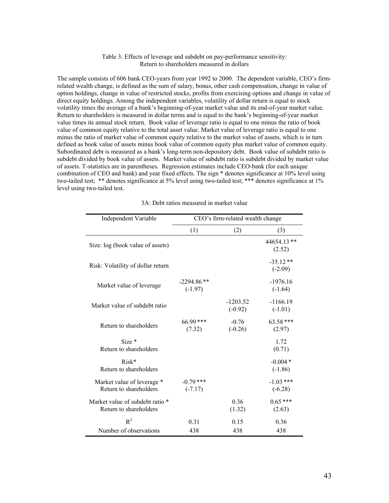#### Table 3: Effects of leverage and subdebt on pay-performance sensitivity: Return to shareholders measured in dollars

The sample consists of 606 bank CEO-years from year 1992 to 2000. The dependent variable, CEO's firmrelated wealth change, is defined as the sum of salary, bonus, other cash compensation, change in value of option holdings, change in value of restricted stocks, profits from exercising options and change in value of direct equity holdings. Among the independent variables, volatility of dollar return is equal to stock volatility times the average of a bank's beginning-of-year market value and its end-of-year market value. Return to shareholders is measured in dollar terms and is equal to the bank's beginning-of-year market value times its annual stock return. Book value of leverage ratio is equal to one minus the ratio of book value of common equity relative to the total asset value. Market value of leverage ratio is equal to one minus the ratio of market value of common equity relative to the market value of assets, which is in turn defined as book value of assets minus book value of common equity plus market value of common equity. Subordinated debt is measured as a bank's long-term non-depository debt. Book value of subdebt ratio is subdebt divided by book value of assets. Market value of subdebt ratio is subdebt divided by market value of assets. T-statistics are in parentheses. Regression estimates include CEO-bank (for each unique combination of CEO and bank) and year fixed effects. The sign \* denotes significance at 10% level using two-tailed test; \*\* denotes significance at 5% level using two-tailed test; \*\*\* denotes significance at 1% level using two-tailed test.

| Independent Variable                                      | CEO's firm-related wealth change |                         |                          |  |  |  |
|-----------------------------------------------------------|----------------------------------|-------------------------|--------------------------|--|--|--|
|                                                           | (1)                              | (2)                     | (3)                      |  |  |  |
| Size: log (book value of assets)                          |                                  |                         | 44654.13**<br>(2.52)     |  |  |  |
| Risk: Volatility of dollar return                         |                                  |                         | $-35.12**$<br>$(-2.09)$  |  |  |  |
| Market value of leverage                                  | $-2294.86$ **<br>$(-1.97)$       |                         | $-1976.16$<br>$(-1.64)$  |  |  |  |
| Market value of subdebt ratio                             |                                  | $-1203.52$<br>$(-0.92)$ | $-1166.19$<br>$(-1.01)$  |  |  |  |
| Return to shareholders                                    | 66.99***<br>(7.32)               | $-0.76$<br>$(-0.26)$    | $63.58***$<br>(2.97)     |  |  |  |
| $Size*$<br>Return to shareholders                         |                                  |                         | 1.72<br>(0.71)           |  |  |  |
| $Risk*$<br>Return to shareholders                         |                                  |                         | $-0.004*$<br>$(-1.86)$   |  |  |  |
| Market value of leverage *<br>Return to shareholders      | $-0.79$ ***<br>$(-7.17)$         |                         | $-1.03$ ***<br>$(-6.28)$ |  |  |  |
| Market value of subdebt ratio *<br>Return to shareholders |                                  | 0.36<br>(1.32)          | $0.65***$<br>(2.63)      |  |  |  |
| $R^2$                                                     | 0.31                             | 0.15                    | 0.36                     |  |  |  |
| Number of observations                                    | 438                              | 438                     | 438                      |  |  |  |

|  |  | 3A: Debt ratios measured in market value |  |  |  |
|--|--|------------------------------------------|--|--|--|
|--|--|------------------------------------------|--|--|--|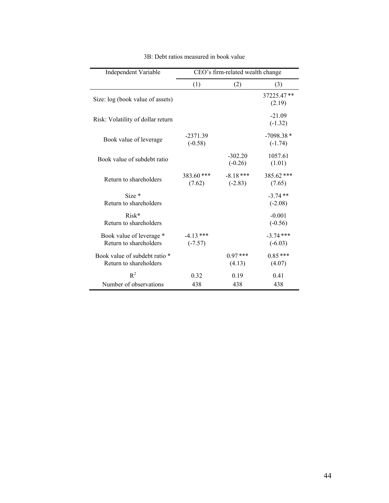| Independent Variable                                    | CEO's firm-related wealth change |                         |                          |  |  |
|---------------------------------------------------------|----------------------------------|-------------------------|--------------------------|--|--|
|                                                         | (1)                              | (2)                     | (3)                      |  |  |
| Size: log (book value of assets)                        |                                  |                         | 37225.47**<br>(2.19)     |  |  |
| Risk: Volatility of dollar return                       |                                  |                         | $-21.09$<br>$(-1.32)$    |  |  |
| Book value of leverage                                  | $-2371.39$<br>$(-0.58)$          |                         | $-7098.38*$<br>$(-1.74)$ |  |  |
| Book value of subdebt ratio                             |                                  | $-302.20$<br>$(-0.26)$  | 1057.61<br>(1.01)        |  |  |
| Return to shareholders                                  | $383.60$ ***<br>(7.62)           | $-8.18***$<br>$(-2.83)$ | 385.62 ***<br>(7.65)     |  |  |
| $Size*$<br>Return to shareholders                       |                                  |                         | $-3.74**$<br>$(-2.08)$   |  |  |
| $Risk*$<br>Return to shareholders                       |                                  |                         | $-0.001$<br>$(-0.56)$    |  |  |
| Book value of leverage *<br>Return to shareholders      | $-4.13***$<br>$(-7.57)$          |                         | $-3.74$ ***<br>$(-6.03)$ |  |  |
| Book value of subdebt ratio *<br>Return to shareholders |                                  | $0.97***$<br>(4.13)     | $0.85***$<br>(4.07)      |  |  |
| $R^2$<br>Number of observations                         | 0.32<br>438                      | 0.19<br>438             | 0.41<br>438              |  |  |

# 3B: Debt ratios measured in book value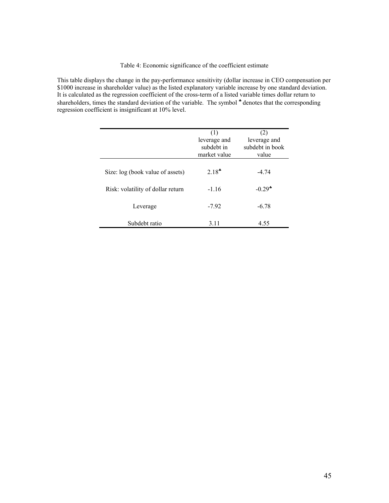### Table 4: Economic significance of the coefficient estimate

This table displays the change in the pay-performance sensitivity (dollar increase in CEO compensation per \$1000 increase in shareholder value) as the listed explanatory variable increase by one standard deviation. It is calculated as the regression coefficient of the cross-term of a listed variable times dollar return to shareholders, times the standard deviation of the variable. The symbol  $*$  denotes that the corresponding regression coefficient is insignificant at 10% level.

|                                   | (1)<br>leverage and<br>subdebt in<br>market value | (2)<br>leverage and<br>subdebt in book<br>value |
|-----------------------------------|---------------------------------------------------|-------------------------------------------------|
| Size: log (book value of assets)  | $2.18*$                                           | $-4.74$                                         |
| Risk: volatility of dollar return | $-1.16$                                           | $-0.29$ <sup>*</sup>                            |
| Leverage                          | $-7.92$                                           | $-6.78$                                         |
| Subdebt ratio                     | 3.11                                              | 4.55                                            |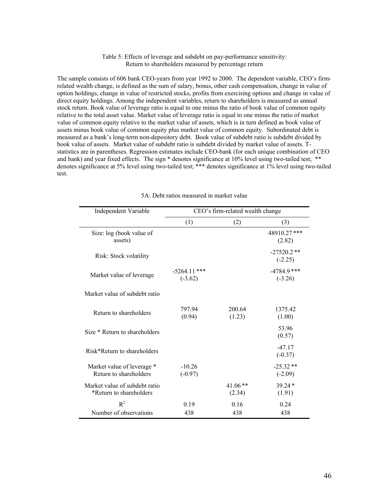#### Table 5: Effects of leverage and subdebt on pay-performance sensitivity: Return to shareholders measured by percentage return

The sample consists of 606 bank CEO-years from year 1992 to 2000. The dependent variable, CEO's firmrelated wealth change, is defined as the sum of salary, bonus, other cash compensation, change in value of option holdings, change in value of restricted stocks, profits from exercising options and change in value of direct equity holdings. Among the independent variables, return to shareholders is measured as annual stock return. Book value of leverage ratio is equal to one minus the ratio of book value of common equity relative to the total asset value. Market value of leverage ratio is equal to one minus the ratio of market value of common equity relative to the market value of assets, which is in turn defined as book value of assets minus book value of common equity plus market value of common equity. Subordinated debt is measured as a bank's long-term non-depository debt. Book value of subdebt ratio is subdebt divided by book value of assets. Market value of subdebt ratio is subdebt divided by market value of assets. Tstatistics are in parentheses. Regression estimates include CEO-bank (for each unique combination of CEO and bank) and year fixed effects. The sign  $*$  denotes significance at 10% level using two-tailed test;  $**$ denotes significance at 5% level using two-tailed test; \*\*\* denotes significance at 1% level using two-tailed test.

| <b>Independent Variable</b>                              | CEO's firm-related wealth change |                     |                            |  |  |
|----------------------------------------------------------|----------------------------------|---------------------|----------------------------|--|--|
|                                                          | (1)                              | (2)                 | (3)                        |  |  |
| Size: log (book value of<br>assets)                      |                                  |                     | 48910.27***<br>(2.82)      |  |  |
| Risk: Stock volatility                                   |                                  |                     | $-27520.2**$<br>$(-2.25)$  |  |  |
| Market value of leverage                                 | $-5264.11$ ***<br>$(-3.62)$      |                     | $-4784.9$ ***<br>$(-3.26)$ |  |  |
| Market value of subdebt ratio                            |                                  |                     |                            |  |  |
| Return to shareholders                                   | 797.94<br>(0.94)                 | 200.64<br>(1.23)    | 1375.42<br>(1.00)          |  |  |
| Size * Return to shareholders                            |                                  |                     | 53.96<br>(0.57)            |  |  |
| Risk*Return to shareholders                              |                                  |                     | $-47.17$<br>$(-0.37)$      |  |  |
| Market value of leverage *<br>Return to shareholders     | $-10.26$<br>$(-0.97)$            |                     | $-25.32**$<br>$(-2.09)$    |  |  |
| Market value of subdebt ratio<br>*Return to shareholders |                                  | $41.06**$<br>(2.34) | $39.24*$<br>(1.91)         |  |  |
| $R^2$                                                    | 0.19                             | 0.16                | 0.24                       |  |  |
| Number of observations                                   | 438                              | 438                 | 438                        |  |  |

### 5A: Debt ratios measured in market value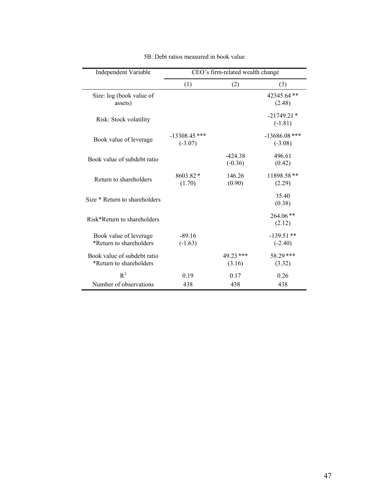| Independent Variable                                   | CEO's firm-related wealth change |                        |                              |  |  |  |
|--------------------------------------------------------|----------------------------------|------------------------|------------------------------|--|--|--|
|                                                        | (1)                              | (2)                    | (3)                          |  |  |  |
| Size: log (book value of<br>assets)                    |                                  |                        | 42345.64**<br>(2.48)         |  |  |  |
| Risk: Stock volatility                                 |                                  |                        | $-21749.21*$<br>$(-1.81)$    |  |  |  |
| Book value of leverage                                 | $-13308.45$ ***<br>$(-3.07)$     |                        | $-13686.08$ ***<br>$(-3.08)$ |  |  |  |
| Book value of subdebt ratio                            |                                  | $-424.38$<br>$(-0.36)$ | 496.61<br>(0.42)             |  |  |  |
| Return to shareholders                                 | 8603.82 *<br>(1.70)              | 146.26<br>(0.90)       | 11898.58**<br>(2.29)         |  |  |  |
| Size * Return to shareholders                          |                                  |                        | 35.40<br>(0.38)              |  |  |  |
| Risk*Return to shareholders                            |                                  |                        | 264.06**<br>(2.12)           |  |  |  |
| Book value of leverage<br>*Return to shareholders      | $-89.16$<br>$(-1.63)$            |                        | $-139.51**$<br>$(-2.40)$     |  |  |  |
| Book value of subdebt ratio<br>*Return to shareholders |                                  | 49.23 ***<br>(3.16)    | 58.29 ***<br>(3.32)          |  |  |  |
| $R^2$<br>Number of observations                        | 0.19<br>438                      | 0.17<br>438            | 0.26<br>438                  |  |  |  |

5B: Debt ratios measured in book value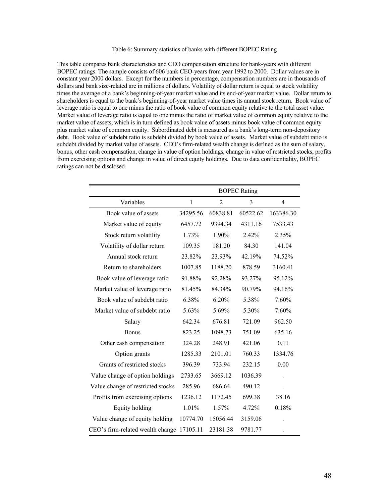### Table 6: Summary statistics of banks with different BOPEC Rating

This table compares bank characteristics and CEO compensation structure for bank-years with different BOPEC ratings. The sample consists of 606 bank CEO-years from year 1992 to 2000. Dollar values are in constant year 2000 dollars. Except for the numbers in percentage, compensation numbers are in thousands of dollars and bank size-related are in millions of dollars. Volatility of dollar return is equal to stock volatility times the average of a bank's beginning-of-year market value and its end-of-year market value. Dollar return to shareholders is equal to the bank's beginning-of-year market value times its annual stock return. Book value of leverage ratio is equal to one minus the ratio of book value of common equity relative to the total asset value. Market value of leverage ratio is equal to one minus the ratio of market value of common equity relative to the market value of assets, which is in turn defined as book value of assets minus book value of common equity plus market value of common equity. Subordinated debt is measured as a bank's long-term non-depository debt. Book value of subdebt ratio is subdebt divided by book value of assets. Market value of subdebt ratio is subdebt divided by market value of assets. CEO's firm-related wealth change is defined as the sum of salary, bonus, other cash compensation, change in value of option holdings, change in value of restricted stocks, profits from exercising options and change in value of direct equity holdings. Due to data confidentiality, BOPEC ratings can not be disclosed.

|                                   | <b>BOPEC Rating</b> |                |          |                |  |
|-----------------------------------|---------------------|----------------|----------|----------------|--|
| Variables                         | 1                   | $\overline{2}$ | 3        | $\overline{4}$ |  |
| Book value of assets              | 34295.56            | 60838.81       | 60522.62 | 163386.30      |  |
| Market value of equity            | 6457.72             | 9394.34        | 4311.16  | 7533.43        |  |
| Stock return volatility           | 1.73%               | 1.90%          | 2.42%    | 2.35%          |  |
| Volatility of dollar return       | 109.35              | 181.20         | 84.30    | 141.04         |  |
| Annual stock return               | 23.82%              | 23.93%         | 42.19%   | 74.52%         |  |
| Return to shareholders            | 1007.85             | 1188.20        | 878.59   | 3160.41        |  |
| Book value of leverage ratio      | 91.88%              | 92.28%         | 93.27%   | 95.12%         |  |
| Market value of leverage ratio    | 81.45%              | 84.34%         | 90.79%   | 94.16%         |  |
| Book value of subdebt ratio       | 6.38%               | 6.20%          | 5.38%    | 7.60%          |  |
| Market value of subdebt ratio     | 5.63%               | 5.69%          | 5.30%    | 7.60%          |  |
| Salary                            | 642.34              | 676.81         | 721.09   | 962.50         |  |
| Bonus                             | 823.25              | 1098.73        | 751.09   | 635.16         |  |
| Other cash compensation           | 324.28              | 248.91         | 421.06   | 0.11           |  |
| Option grants                     | 1285.33             | 2101.01        | 760.33   | 1334.76        |  |
| Grants of restricted stocks       | 396.39              | 733.94         | 232.15   | 0.00           |  |
| Value change of option holdings   | 2733.65             | 3669.12        | 1036.39  |                |  |
| Value change of restricted stocks | 285.96              | 686.64         | 490.12   |                |  |
| Profits from exercising options   | 1236.12             | 1172.45        | 699.38   | 38.16          |  |
| Equity holding                    | 1.01%               | 1.57%          | 4.72%    | 0.18%          |  |
| Value change of equity holding    | 10774.70            | 15056.44       | 3159.06  |                |  |
| CEO's firm-related wealth change  | 17105.11            | 23181.38       | 9781.77  |                |  |